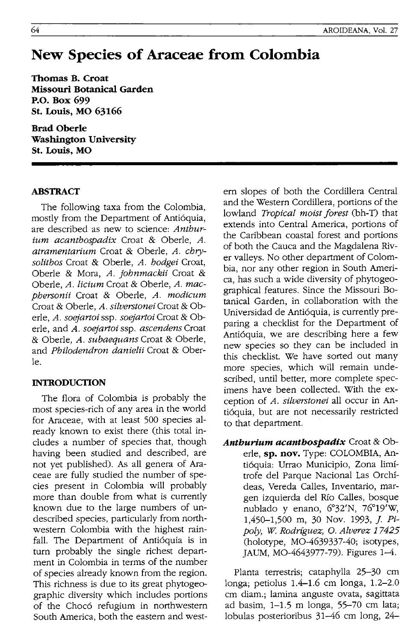# **New Species of Araceae from Colombia**

**Thomas B. Croat Missouri Botanical Garden P.o. Box 699 st. Louis, MO 63166** 

**Brad Oberle Washington University St. Louis, MO** 

## **ABSTRACT**

The following taxa from the Colombia, mostly from the Department of Antioquia, are described as new to science: *Anthurium acanthospadix* Croat & Oberle, *A. atramentarium* Croat & Oberle, *A. chrysolithos* Croat & Oberle, *A. hodgei* Croat, Oberle & Mora, *A. johnmackii* Croat & Oberle, *A. licium* Croat & Oberle, *A. macphersonii* Croat & Oberle, *A. modicum*  Croat & Oberle, *A. silverstonei* Croat & Oberle, *A. soejartoi* ssp. *soejartoi* Croat & Oberle, and *A. soejartoi* ssp. *ascendens* Croat & Oberle, *A. subaequans* Croat & Oberle, and *Philodendron danielii* Croat & Oberle.

# **INTRODUCTION**

The flora of Colombia is probably the most species-rich of any area in the world for Araceae, with at least 500 species already known to exist there (this total includes a number of species that, though having been studied and described, are not yet published). As all genera of Araceae are fully studied the number of species present in Colombia will probably more than double from what is currently known due to the large numbers of undescribed species, particularly from northwestern Colombia with the highest rainfall. The Department of Antióquia is in turn probably the single richest department in Colombia in terms of the number of species already known from the region. This richness is due to its great phytogeographic diversity which includes portions of the Chocó refugium in northwestern South America, both the eastern and western slopes of both the Cordillera Central and the Western Cordillera, portions of the lowland *Tropical moist forest* (bh-T) that extends into Central America, portions of the Caribbean coastal forest and portions of both the Cauca and the Magdalena River valleys. No other department of Colombia, nor any other region in South America, has such a wide diversity of phytogeographical features. Since the Missouri Botanical Garden, in collaboration with the Universidad de Antioquia, is currently preparing a checklist for the Department of Antioquia, we are describing here a few new species so they can be included in this checklist. We have sorted out many more species, which will remain undescribed, until better, more complete specimens have been collected. With the exception of *A. silverstonei* all occur in Antioquia, but are not necessarily restricted to that department.

*Anthurium acanthospadix* Croat & Oberle, **sp. nov.** Type: COLOMBIA, Antioquia: Urrao Municipio, Zona limftrofe del Parque Nacional Las Orchfdeas, Vereda Calles, Inventario, margen izquierda del Río Calles, bosque nublado y enano, 6°32'N, 76°19'W, 1,450-1,500 m, 30 Nov. 1993, *J.* Pi*poly, W. Rodriguez,* o. *Alverez 17425*  (holotype, MO-4639337-40; isotypes, JAUM, MO-4643977-79). Figures 1-4.

Planta terrestris; cataphylla 25-30 cm longa; petiolus 1.4-1.6 cm longa, 1.2-2.0 cm diam.; lamina anguste ovata, sagittata ad basim, 1-1.5 m longa, 55-70 cm lata; lobulas posterioribus 31-46 cm long, 24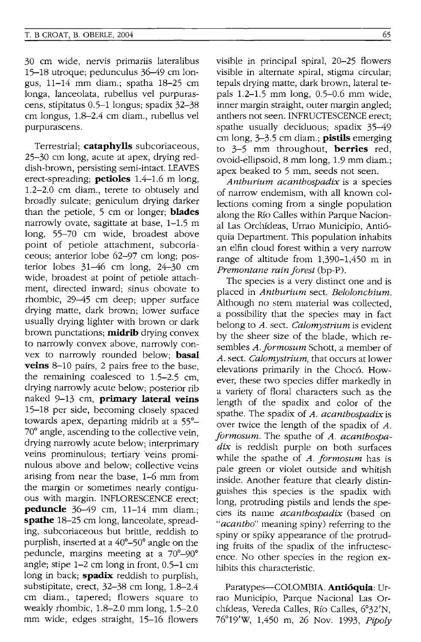30 cm wide, nervis primariis lateralibus 15-18 utroquej pedunculus 36-49 cm longus, 11-14 mm diam.j spatha 18-25 cm longa, lanceolata, rubellus vel purpurascens, stipitatus 0.5-1 longus; spadix 32-38 cm longus, 1.8-2.4 cm diam., rubellus vel purpurascens.

Terrestrialj **cataphylls** subcoriaceous, 25-30 cm long, acute at apex, drying reddish-brown, persisting semi-intact. LEAVES erect-spreadingj **petioles** 1.4-1.6 m long, 1.2-2.0 cm diam., terete to obtusely and broadly sulcate; geniculum drying darker than the petiole, 5 cm or longer; **blades** narrowly ovate, sagittate at base, 1-1.5 m long, 55-70 cm wide, broadest above point of petiole attachment, subcoriaceous; anterior lobe 62-97 cm long; posterior lobes 31-46 cm long, 24-30 cm wide, broadest at point of petiole attachment, directed inward; sinus obovate to rhombic, 29-45 cm deep; upper surface drying matte, dark brown; lower surface usually drying lighter with brown or dark brown punctations; **midrib** drying convex to narrowly convex above, narrowly convex to narrowly rounded below; **basal veins** 8-10 pairs, 2 pairs free to the base, the remaining coalesced to 1.5-2.5 cm, drying narrowly acute below; posterior rib naked 9-13 cm, **primary lateral veins**  15-18 per side, becoming closely spaced towards apex, departing midrib at a 55°- 70° angle, ascending to the collective vein, drying narrowly acute below; interprimary veins prominulous; tertiary veins prominulous above and below; collective veins arising from near the base, 1-6 mm from the margin or sometimes nearly contiguous with margin. INFLORESCENCE erect; **peduncle** 36–49 cm, 11–14 mm diam.; **spathe** 18-25 cm long, lanceolate, spreading, subcoriaceous but brittle, reddish to purplish, inserted at a 40°-50° angle on the peduncle, margins meeting at a 70°-90° angle; stipe  $1-2$  cm long in front,  $0.5-1$  cm long in back; **spadix** reddish to purplish, substipitate, erect, 32-38 cm long, 1.8-2.4 cm diam., tapered; flowers square to weakly rhombic, 1.8-2.0 mm long, 1.5-2.0 mm wide, edges straight, 15-16 flowers

visible in principal spiral, 20-25 flowers visible in alternate spiral, stigma circular; tepals drying matte, dark brown, lateral tepals 1.2-1.5 mm long, 0.5-0.6 mm wide, inner margin straight, outer margin angled; anthers not seen. INFRUCTESCENCE erect: spathe usually deciduous; spadix 35-49 cm long, 3-3.5 cm diam.j **pistils** emerging to 3-5 mm throughout, **berries** red, ovoid-ellipsoid, 8 mm long, 1.9 mm diam.j apex beaked to 5 mm, seeds not seen.

*Anthurium acanthospadix* is a species of narrow endemism, with all known collections coming from a single population along the Rio Calles within Parque Nacional Las Orchfdeas, Urrao Municipio, Anti6 quia Department. This population inhabits an elfin cloud forest within a very narrow range of altitude from 1,390-1,450 m in *Premontane rain forest* (bp-P).

The species is a very distinct one and is placed in *Anthurium* sect. *Belolonchium.*  Although no stem material was collected, a possibility that the species may in fact belong to *A.* sect. *Calomystrium* is evident by the sheer size of the blade, which resembles *A.formosum* Schott, a member of *A.* sect. *Calomystrium,* that occurs at lower elevations primarily in the Choc6. However, these two species differ markedly in a variety of floral characters such as the length of the spadix and color of the spathe. The spadix of *A. acanthospadix* is over twice the length of the spadix of *A. formosum.* The spathe of *A. acanthospadix* is reddish purple on both surfaces while the spathe of *A. formosum* has is pale green or violet outside and whitish inside. Another feature that clearly distinguishes this species is the spadix with long, protruding pistils and lends the species its name *acanthospadix* Chased on *"acantho"* meaning spiny) referring to the spiny or spiky appearance of the protruding fruits of the spadix of the infructescence. No other species in the region exhibits this characteristic.

Paratypes-COLOMBIA. **Antioquia:** Urrao Municipio, Parque Nacional Las Orchfdeas, Vereda Calles, Rfo Calles, 6°32'N, 76°19'W, 1,450 m, 26 Nov. 1993, *Pipoly*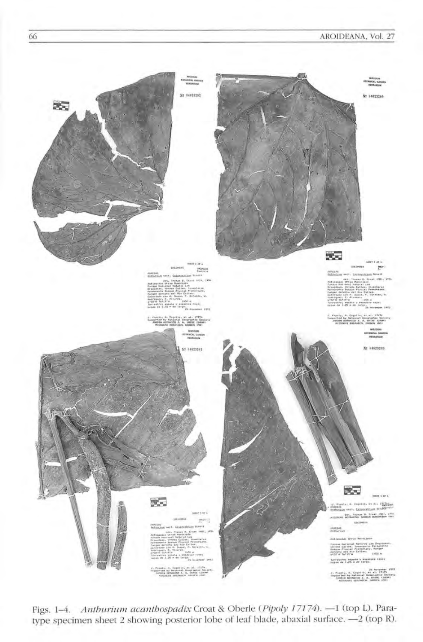## AROIDEANA, Vol. 27



Figs. 1-4. Anthurium acanthospadix Croat & Oberle (Pipoly 17174). - 1 (top L). Paratype specimen sheet 2 showing posterior lobe of leaf blade, abaxial surface. - 2 (top R).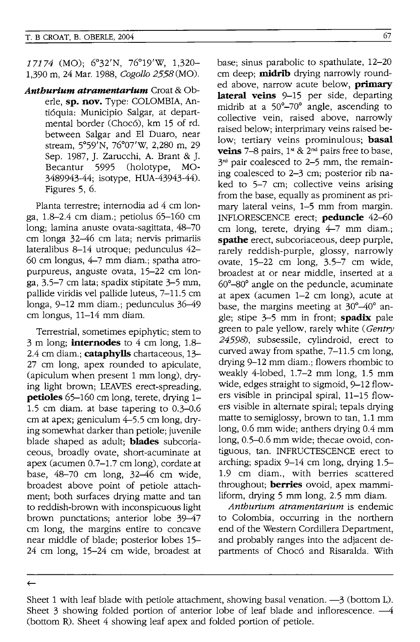17174 (MO); 6°32'N, 76°19'W, 1,320- 1,390 m, 24 Mar. 1988, *Cogollo* 2558 (MO).

*Anthurium atramentarium* Croat & Oberle, **sp. nov.** Type: COLOMBIA, Anti6quia: Municipio Salgar, at departmental border (Choc6), km 15 of rd. between Salgar and EI Duaro, near stream, 5°59'N, 76°07'W, 2,280 m, 29 Sep. 1987, J. Zarucchi, A. Brant & J. Becantur 5995 (holotype, MO-3489943-44; isotype, HUA-43943-44). Figures 5, 6.

Planta terrestre; internodia ad 4 cm longa, 1.8-2.4 cm diam.; petiolus 65-160 cm long; lamina anuste ovata-sagittata, 48-70 cm longa 32-46 cm lata; nervis primariis lateralibus 8-14 utroque; pedunculus 42- 60 cm longus, 4-7 mm diam.; spatha atropurpureus, anguste ovata, 15-22 cm longa, 3.5-7 cm lata; spadix stipitate 3-5 mm, pallide viridis vel pallide luteus, 7-11.5 cm longa, 9-12 mm diam.; pedunculus 36-49 cm longus, 11-14 mm diam.

Terrestrial, sometimes epiphytic; stem to 3 m long; **internodes** to 4 cm long, 1.8- 2.4 cm diam.; **cataphylls** chartaceous, 13- 27 cm long, apex rounded to apiculate, (apiculum when present 1 mm long), drying light brown; LEAVES erect-spreading, **petioles** 65-160 cm long, terete, drying 1-1.5 cm diam. at base tapering to 0.3-0.6 cm at apex; geniculum 4-5.5 cm long, drying somewhat darker than petiole; juvenile blade shaped as adult; **blades** subcoriaceous, broadly ovate, short-acuminate at apex (acumen 0.7-1.7 cm long), cordate at base, 48-70 cm long, 32-46 cm wide, broadest above point of petiole attachment; both surfaces drying matte and tan to reddish-brown with inconspicuous light brown punctations; anterior lobe 39-47 cm long, the margins entire to concave near middle of blade; posterior lobes 15- 24 cm long, 15-24 cm wide, broadest at base; sinus parabolic to spathulate, 12-20 cm deep; **midrib** drying narrowly rounded above, narrow acute below, **primary lateral veins** 9-15 per side, departing midrib at a 50°-70° angle, ascending to collective vein, raised above, narrowly raised below; interprimary veins raised below; tertiary veins prominulous; **basal veins**  $7-8$  pairs,  $1^{st}$  &  $2^{nd}$  pairs free to base,  $3<sup>rd</sup>$  pair coalesced to 2–5 mm, the remaining coalesced to 2-3 cm; posterior rib naked to 5-7 cm; collective veins arising from the base, equally as prominent as primary lateral veins, 1-5 mm from margin. INFLORESCENCE erect; **peduncle** 42-60 cm long, terete, drying 4-7 mm diam.; **spathe** erect, subcoriaceous, deep purple, rarely reddish-purple, glossy, narrowly ovate, 15-22 cm long, 3.5-7 cm wide, broadest at or near middle, inserted at a  $60^{\circ}-80^{\circ}$  angle on the peduncle, acuminate at apex (acumen 1-2 cm long), acute at base, the margins meeting at 30°-40° angle; stipe 3-5 mm in front; **spadix** pale green to pale yellow, rarely white (Gentry 24598), subsessile, cylindroid, erect to curved away from spathe, 7-11.5 cm long, drying 9-12 mm diam.; flowers rhombic to weakly 4-lobed, 1.7-2 mm long, 1.5 mm wide, edges straight to sigmoid, 9-12 flowers visible in principal spiral, 11-15 flowers visible in alternate spiral; tepals drying matte to semiglossy, brown to tan, 1.1 mm long, 0.6 mm wide; anthers drying 0.4 mm long, 0.5-0.6 mm wide; thecae ovoid, contiguous, tan. INFRUCTESCENCE erect to arching; spadix 9-14 cm long, drying 1.5- 1.9 cm diam., with berries scattered throughout; **berries** ovoid, apex mammiliform, drying 5 mm long, 2.5 mm diam.

Anthurium atramentarium is endemic to Colombia, occurring in the northern end of the Western Cordillera Department, and probably ranges into the adjacent departments of Choc6 and Risaralda. With

 $\leftarrow$ 

Sheet 1 with leaf blade with petiole attachment, showing basal venation.  $-3$  (bottom L). Sheet 3 showing folded portion of anterior lobe of leaf blade and inflorescence.  $-4$ (bottom R). Sheet 4 showing leaf apex and folded portion of petiole.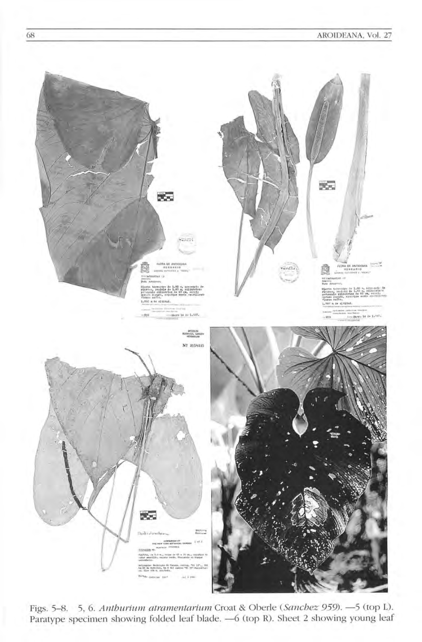

Figs. 5-8. 5, 6. Anthurium atramentarium Croat & Oberle (Sanchez 959). -5 (top L). Paratype specimen showing folded leaf blade. - 6 (top R). Sheet 2 showing young leaf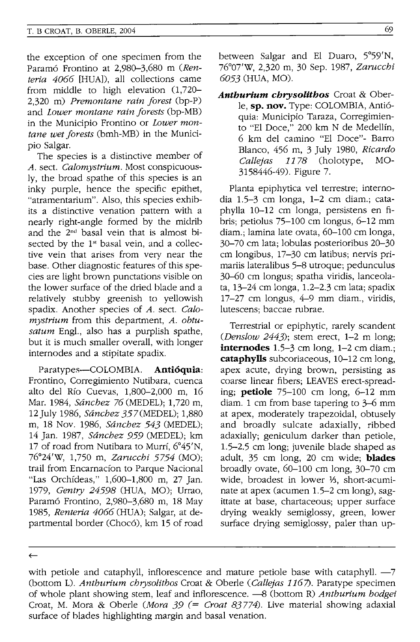the exception of one specimen from the Paramo Frontino at 2,980-3,680 m *(Ren*teria 4066 [HUA]), all collections came from middle to high elevation (1,720- 2,320 m) *Premontane rain forest* (bp-P) and *Lower montane rain forests* (bp-MB) in the Municipio Frontino or *Lower montane wet forests* (bmh-MB) in the Municipio Salgar.

The species is a distinctive member of *A.* sect. *Calomystrium.* Most conspicuously, the broad spathe of this species is an inky purple, hence the specific epithet, "atramentarium". Also, this species exhibits a distinctive venation pattern with a nearly right-angle formed by the midrib and the 2nd basal vein that is almost bisected by the  $1<sup>st</sup>$  basal vein, and a collective vein that arises from very near the base. Other diagnostic features of this species are light brown punctations visible on the lower surface of the dried blade and a relatively stubby greenish to yellowish spadix. Another species of *A.* sect. *Calomystrium* from this department, *A. obtusatum* Engl., also has a purplish spathe, but it is much smaller overall, with longer internodes and a stipitate spadix.

Paratypes-COLOMBIA. **Antioquia:**  Frontino, Corregimiento Nutibara, cuenca alto del Rfo Cuevas, 1,800-2,000 m, 16 Mar. 1984, *Sanchez* 76(MEDEL); 1,720 m, 12 July 1986, *Sanchez* 357 (MEDEL); 1,880 m, 18 Nov. 1986, *Sanchez* 543 (MEDEL); 14 Jan. 1987, *Sanchez* 959 (MEDEL); km 17 of road from Nutibara to Murrf, 6°45'N, 76°24'W, 1,750 m, *Zarucchi* 5754 (MO); trail from Encarnacfon to Parque Nacional "Las Orchfdeas," 1,600-1,800 m, 27 Jan. 1979, *Gentry* 24598 (HUA, MO); Urrao, Paramó Frontino, 2,980-3,680 m, 18 May 1985, *Renteria 4066* (HUA); Salgar, at departmental border (Chocó), km 15 of road between Salgar and EI Duaro, 5°59'N, 76°07'W, 2,320 m, 30 Sep. 1987, *Zarucchi 6053* (HUA, MO).

*Anthurium chrysolithos* Croat & Oberle, **sp. nov.** Type: COLOMBIA, Antioquia: Municipio Taraza, Corregimiento "EI Doce," 200 km N de Medellfn, 6 km del camino "EI Doce"- Barro Bianco, 456 m, 3 July 1980, *Ricardo Callejas* 1178 (holotype, MO-3158446-49). Figure 7.

Planta epiphytica vel terrestre; internodia 1.5-3 cm longa, 1-2 cm diam.; cataphylla 10-12 cm longa, persistens en fibris; petiolus 75-100 cm longus, 6-12 mm diam.; lamina late ovata, 60-100 cm longa, 30-70 cm lata; lobulas posterioribus 20-30 cm longibus, 17-30 cm latibus; nervis primariis lateralibus 5-8 utroque; pedunculus 30-60 cm longus; spatha viridis, lanceolata, 13-24 cm longa, 1.2-2.3 cm lata; spadix 17-27 cm longus, 4-9 mm diam., viridis, lutescens; baccae rubrae.

Terrestrial or epiphytic, rarely scandent *(Denslow* 2443); stem erect, 1-2 m long; **internodes** 1.5-3 cm long, 1-2 cm diam.; **cataphylls** subcoriaceous, 10-12 cm long, apex acute, drying brown, persisting as coarse linear fibers; LEAVES erect-spreading; **petiole** 75-100 cm long, 6-12 mm diam. 1 cm from base tapering to 3-6 mm at apex, moderately trapezoidal, obtusely and broadly sulcate adaxially, ribbed adaxially; geniculum darker than petiole, 1.5-2.5 cm long; juvenile blade shaped as adult, 35 cm long, 20 cm wide; **blades**  broadly ovate, 60-100 cm long, 30-70 cm wide, broadest in lower 1/3, short-acuminate at apex (acumen 1.5-2 cm long), sagittate at base, chartaceous; upper surface drying weakly semiglossy, green, lower surface drying semiglossy, paler than up-

 $\leftarrow$ 

with petiole and cataphyll, inflorescence and mature petiole base with cataphyll. -7 (bottom L). *Anthurium chrysolithos* Croat & Oberle *(Callejas* 1167). Paratype specimen of whole plant showing stem, leaf and inflorescence. -8 (bottom R) *Anthurium hodgei*  Croat, M. Mora & Oberle *(Mora* 39 (= *Croat* 83774). Live material showing adaxial surface of blades highlighting margin and basal venation.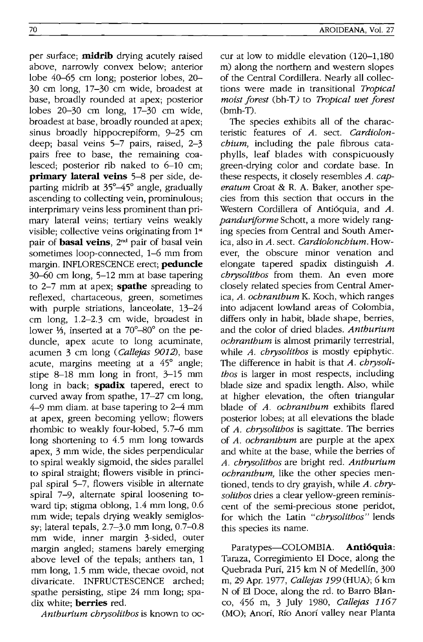per surface; **midrib** drying acutely raised above, narrowly convex below; anterior lobe 40-65 cm long; posterior lobes, 20- 30 cm long, 17-30 cm wide, broadest at base, broadly rounded at apex; posterior lobes 20-30 cm long, 17-30 cm wide, broadest at base, broadly rounded at apex; sinus broadly hippocrepiform, 9-25 cm deep; basal veins 5-7 pairs, raised, 2-3 pairs free to base, the remaining coalesced; posterior rib naked to 6-10 cm; **primary lateral veins** 5-8 per side, departing midrib at 35°-45° angle, gradually ascending to collecting vein, prominulous; interprimary veins less prominent than primary lateral veins; tertiary veins weakly visible; collective veins originating from 1<sup>st</sup> pair of **basal veins,** 2nd pair of basal vein sometimes loop-connected, 1-6 mm from margin. INFLORESCENCE erect; **peduncle**  30-60 cm long, 5-12 mm at base tapering to 2-7 mm at apex; **spathe** spreading to reflexed, chartaceous, green, sometimes with purple striations, lanceolate, 13-24 cm long, 1.2-2.3 cm wide, broadest in lower  $\frac{1}{2}$ , inserted at a 70°-80° on the peduncle, apex acute to long acuminate, acumen 3 cm long *(Callejas 9012),* base acute, margins meeting at a 45° angle; stipe 8-18 mm long in front, 3-15 mm long in back; **spadix** tapered, erect to curved away from spathe, 17-27 cm long, 4-9 mm diam. at base tapering to 2-4 mm at apex, green becoming yellow; flowers rhombic to weakly four-lobed, 5.7-6 mm long shortening to 4.5 mm long towards apex, 3 mm wide, the sides perpendicular to spiral weakly sigmoid, the sides parallel to spiral straight; flowers visible in principal spiral 5-7, flowers visible in alternate spiral 7-9, alternate spiral loosening toward tip; stigma oblong, 1.4 mm long, 0.6 mm wide; tepals drying weakly semiglossy; lateral tepals, 2.7-3.0 mm long, 0.7-0.8 mm wide, inner margin 3-sided, outer margin angled; stamens barely emerging above level of the tepals; anthers tan, 1 mm long, 1.5 mm wide, thecae ovoid, not divaricate. INFRUCTESCENCE arched; spathe persisting, stipe 24 mm long; spadix white; **berries** red.

*Anthurium chrysolithos* is known to oc-

cur at low to middle elevation  $(120-1,180)$ m) along the northern and western slopes of the Central Cordillera. Nearly **all** collections were made in transitional *Tropical moist forest (bh-T)* to *Tropical wet forest* (bmh-T).

The species exhibits **all** of the characteristic features of *A.* sect. *Cardiolonchium,* including the pale fibrous cataphylls, leaf blades with conspicuously green-drying color and cordate base. In these respects, it closely resembles *A. caperatum* Croat & R. A. Baker, another species from this section that occurs in the Western Cordillera of Antióquia, and A. *panduriforme* Schott, a more widely ranging species from Central and South America, also in *A.* sect. *Cardiolonchium.* However, the obscure minor venation and elongate tapered spadix distinguish *A. chrysolithos* from them. An even more closely related species from Central America, *A. ochranthum* K. Koch, which ranges into adjacent lowland areas of Colombia, differs only in habit, blade shape, berries, and the color of dried blades. *Anthurium ochranthum* is almost primarily terrestrial, while *A. chrysolithos* is mostly epiphytic. The difference in habit is that *A. chrysolithos* is larger in most respects, including blade size and spadix length. Also, while at higher elevation, the often triangular blade of *A. ochranthum* exhibits flared posterior lobes; at all elevations the blade of *A. chrysolithos* is sagittate. The berries of *A. ochranthum* are purple at the apex and white at the base, while the berries of *A. chrysolithos* are bright red. *Anthurium ochranthum,* like the other species mentioned, tends to dry grayish, while *A. chrysolithos* dries a clear yellow-green reminiscent of the semi-precious stone peridot, for which the Latin *"chrysolithos"* lends this species its name.

Paratypes-COLOMBIA. **Antioquia:**  Taraza, Corregimiento EI Doce, along the Quebrada Purí, 215 km N of Medellín, 300 m, 29 Apr. 1977, *Callejas* 199 (HUA); 6 km N of EI Doce, along the rd. to Barro Blanco, 456 m, 3 July 1980, *Callejas 1167*  (MO); Anorí, Río Anorí valley near Planta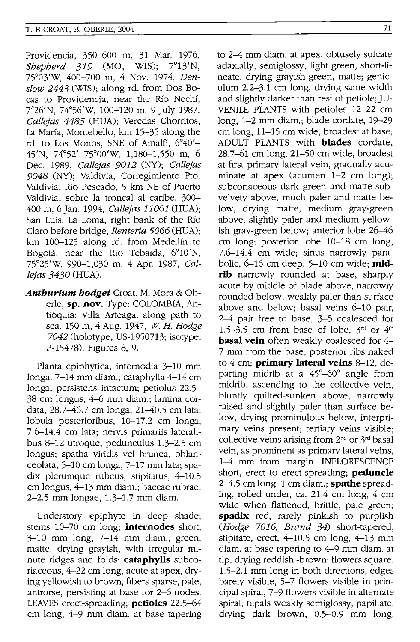Providencia, 350-600 m, 31 Mar. 1976, *Sbepberd* 319 (MO, WIS); 7°13'N, 75°03'W, 400-700 m, 4 Nov. 1974, *Denslow* 2443 (WIS); along rd. from Dos Bocas to Providencia, near the Rio Nechi, 7°26'N, 74°56'w, 100-120 m, 9 July 1987, *Callejas* 4485 (HUA); Veredas Chorritos, La Marfa, Montebello, km 15-35 along the rd. to Los Monos, SNE of Amalfi, 6°40'- 45'N, 74°52'-75°00'W, 1,180-1,550 m, 6 Dec. 1989, *Callejas 9012* (NY); *Callejas 9048* (NY); Valdivia, Corregimiento Pto. Valdivia, Rio Pescado, 5 km NE of Puerto Valdivia, sobre la troncal al caribe, 300- 400 m, 6 Jan. 1994, *Callejas 11061* (HUA); San Luis, La Loma, right bank of the Rio Claro before bridge, *Renteria 5066* (HUA); km 100-125 along rd. from Medellin to Bogota, near the Rio Tebaida, 6°10'N, 75°25'W, 990-1,030 m, 4 Apr. 1987, *Callejas 3430* (HUA).

*Anthurium hodge;* Croat, M. Mora & Oberie, **sp. nov.** Type: COLOMBIA, Anti6quia: Villa Arteaga, along path to sea, 150 m, 4 Aug. 1947, *W. H. Hodge 7042* (holotype, US-1950713; isotype, P-15478). Figures 8, 9.

Planta epiphytica; internodia 3-10 mm longa, 7-14 mm diam.; cataphylla 4-14 cm longa, persistens intactum; petiolus 22.5- 38 cm longus, 4-6 mm diam.; lamina cordata, 28.7-46.7 cm longa, 21-40.5 cm lata; lobula posterioribus, 10-17.2 cm longa, 7.6-14.4 cm lata; nervis primariis lateralibus 8-12 utroque; pedunculus 1.3-2.5 cm longus; spatha viridis vel brunea, oblanceolata, 5-10 cm longa, 7-17 mm lata; spadix plerumque rubeus, stipitatus, 4-10.5 cm longus, 4-13 mm diam.; baccae rubrae, 2-2.5 mm longae, 1.3-1.7 mm diam.

Understory epiphyte in deep shade; stems 10-70 cm long; **internodes** short, 3-10 mm long, 7-14 mm diam., green, matte, drying grayish, with irregular minute ridges and folds; **cataphylls** subcoriaceous, 4-22 cm long, acute at apex, drying yellowish to brown, fibers sparse, pale, antrorse, persisting at base for 2-6 nodes. LEAVES erect-spreading; **petioles** 22.5-64 cm long, 4-9 mm diam. at base tapering to 2-4 mm diam. at apex, obtusely sulcate adaxially, semiglossy, light green, short-lineate, drying grayish-green, matte; geniculum 2.2-3.1 cm long, drying same width and slightly darker than rest of petiole; JU-VENILE PLANTS with petioles 12-22 cm long, 1-2 mm diam.; blade cordate, 19-29 cm long, 11-15 cm wide, broadest at base; ADULT PLANTS with **blades** cordate, 28.7-61 cm long, 21-50 cm wide, broadest at first primary lateral vein, gradually acuminate at apex (acumen 1-2 cm long); subcoriaceous dark green and matte-subvelvety above, much paler and matte below, drying matte, medium gray-green above, slightly paler and medium yellowish gray-green below; anterior lobe 26-46 cm long; posterior lobe 10-18 cm long, 7.6-14.4 cm wide; sinus narrowly parabolic, 6-16 cm deep, 5-10 cm wide; **midrib** narrowly rounded at base, sharply acute by middle of blade above, narrowly rounded below, weakly paler than surface above and below; basal veins 6-10 pair, 2-4 pair free to base, 3-5 coalesced for 1.5-3.5 cm from base of lobe,  $3<sup>rd</sup>$  or  $4<sup>th</sup>$ **basal vein** often weakly coalesced for 4-7 mm from the base, posterior ribs naked to 4 cm; **primary lateral veins** 8-12, departing midrib at a  $45^{\circ} - 60^{\circ}$  angle from midrib, ascending to the collective vein, bluntly quilted-sunken above, narrowly raised and slightly paler than surface below, drying prominulous below, interprimary veins present; tertiary veins visible; collective veins arising from 2nd or 3rd basal vein, as prominent as primary lateral veins, 1-4 mm from margin. INFLORESCENCE short, erect to erect-spreading; **peduncle**  2-4.5 cm long, 1 cm diam.; **spathe** spreading, rolled under, ca. 21.4 cm long, 4 cm wide when flattened, brittle, pale green; **spadix** red, rarely pinkish to purplish *(Hodge 7016, Brand* 34) short-tapered, stipitate, erect, 4-10.5 cm long, 4-13 mm diam. at base tapering to 4-9 mm diam. at tip, drying reddish -brown; flowers square, 1.5-2.1 mm long in both directions, edges barely visible, 5-7 flowers visible in principal spiral, 7-9 flowers visible in alternate spiral; tepals weakly semiglossy, papillate, drying dark brown, 0.5-0.9 mm long,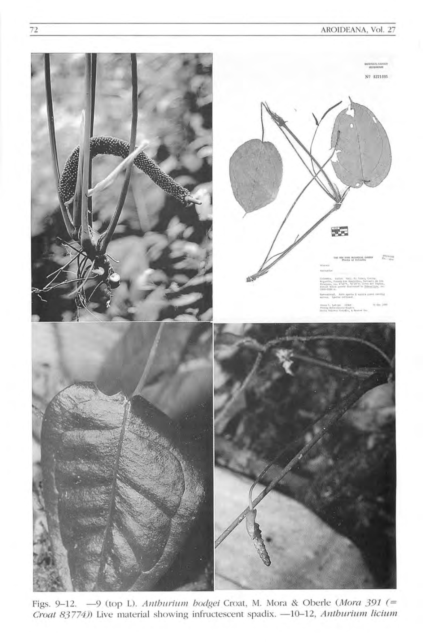

Figs. 9-12. -9 (top L). Anthurium hodgei Croat, M. Mora & Oberle (Mora 391 (= Croat 83774)) Live material showing infructescent spadix. -10-12, Anthurium licium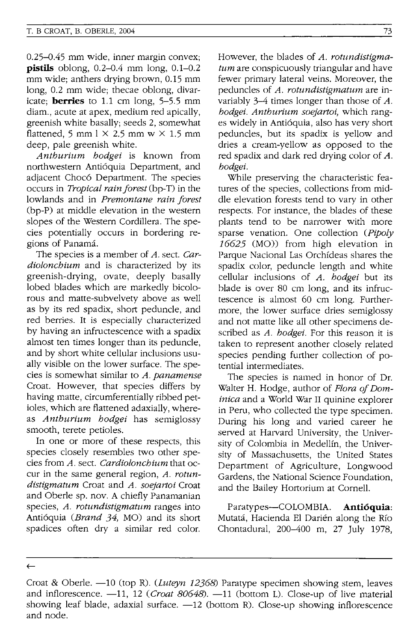0.25-0.45 mm wide, inner margin convex; **pistils** oblong, 0.2-0.4 mm long, 0.1-0.2 mm wide; anthers drying brown, 0.15 mm long, 0.2 mm wide; thecae oblong, divaricate; **berries** to 1.1 cm long, 5-5.5 mm diam., acute at apex, medium red apically, greenish white basally; seeds 2, somewhat flattened, 5 mm  $1 \times 2.5$  mm w  $\times$  1.5 mm deep, pale greenish white.

*Antburium bodgei* is known from northwestern Antióquia Department, and adiacent Chocó Department. The species occurs in *Tropical rainforest* (bp-T) in the lowlands and in *Premontane rain forest*  (bp-P) at middle elevation in the western slopes of the Western Cordillera. The species potentially occurs in bordering regions of Panama.

The species is a member of *A.* sect. *Cardioloncbium* and is characterized by its greenish-drying, ovate, deeply basally lobed blades which are markedly bicolorous and matte-subvelvety above as well as by its red spadix, short peduncle, and red berries. It is especially characterized by having an infructescence with a spadix almost ten times longer than its peduncle, and by short white cellular inclusions usually visible on the lower surface. The species is somewhat similar to *A. panamense*  Croat. However, that species differs by having matte, circumferentially ribbed petioles, which are flattened adaxially, whereas *Antburium bodgei* has semiglossy smooth, terete petioles.

In one or more of these respects, this species closely resembles two other species from *A.* sect. *Cardioloncbium* that occur in the same general region, *A. rotundistigmatum* Croat and *A. soejartoi* Croat and Oberle sp. nov. A chiefly Panamanian species, *A. rotundistigmatum* ranges into Antioquia *(Brand* 34, MO) and its short spadices often dry a similar red color.

However, the blades of *A. rotundistigmatum* are conspicuously triangular and have fewer primary lateral veins. Moreover, the peduncles of *A. rotundistigmatum* are invariably 3-4 times longer than those of *A. bodgei. Antburium soejartoi,* which ranges widely in Antioquia, also has very short peduncles, but its spadix is yellow and dries a cream-yellow as opposed to the red spadix and dark red drying color of *A. bodgei.* 

While preserving the characteristic features of the species, collections from middle elevation forests tend to vary in other respects. For instance, the blades of these plants tend to be narrower with more sparse venation. One collection *(Pipoly*  16625 (MO)) from high elevation in Parque Nacional Las Orchideas shares the spadix color, peduncle length and white cellular inclusions of *A. bodgei* but its blade is over 80 cm long, and its infructescence is almost 60 cm long. Furthermore, the lower surface dries semiglossy and not matte like all other specimens described as *A. bodgei.* For this reason it is taken to represent another closely related species pending further collection of potential intermediates.

The species is named in honor of Dr. Walter H. Hodge, author of *Flora of Dominica* and a World War II quinine explorer in Peru, who collected the type specimen. During his long and varied career he served at Harvard University, the University of Colombia in Medellin, the University of Massachusetts, the United States Department of Agriculture, Longwood Gardens, the National Science Foundation, and the Bailey Hortorium at Cornell.

Paratypes-COLOMBIA. **Anti6quia:**  Mutata, Hacienda EI Darien along the Rio Chontadural, 200-400 m, 27 July 1978,

 $\leftarrow$ 

Croat & Oberle. -10 (top R). *(Luteyn* 12368) Paratype specimen showing stem, leaves and inflorescence. -11, 12 (*Croat 80648*). -11 (bottom L). Close-up of live material showing leaf blade, adaxial surface.  $-12$  (bottom R). Close-up showing inflorescence and node.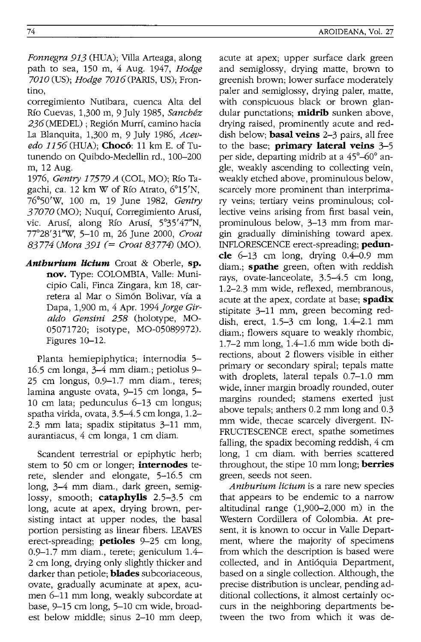path to sea, 150 m, 4 Aug. 1947, *Hodge*  7010 (US); *Hodge* 7016(PARIS, US); Frontino,

corregimiento Nutibara, cuenca Alta del Rio Cuevas, 1,300 m, 9 July 1985, *Sanchez*  236 (MEDEL) ; Regi6n Murff, camino hacia La Blanquita, 1,300 m, 9 July 1986, *Acevedo 1156* (HUA); **Chocó**: 11 km E. of Tutunendo on Quibdo-Medellin rd., 100-200 m, 12 Aug.

*1976, Gentry* 17579 *A* (COL, MO); Rio Tagachi, ca. 12 km W of RIO Atrato, 6°15'N, 76°50'W, 100 m, 19 June 1982, *Gentry*  37070 (MO); Nuquí, Corregimiento Arusí, vic. Arusí, along Río Arusí, 5°35'47"N, 77°28' 31''W, 5-10 m, 26 June 2000, *Croat 83774 (Mora* 391 (= *Croat* 83774) (MO).

*Anthurium licium* Croat & Oberle, **sp. nov.** Type: COLOMBIA, Valle: Municipio Cali, Finca Zingara, km 18, carretera al Mar 0 Sim6n Bolivar, via a Dapa, 1,900 m, 4 Apr. 1994 *Jorge Giraldo Gensini* 258 (holotype, MO-05071720; isotype, MO-05089972). Figures 10-12.

Planta hemiepiphytica; internodia 5- 16.5 cm longa, 3-4 mm diam.; petiolus 9- 25 cm longus, 0.9-1.7 mm diam., teres; lamina anguste ovata, 9-15 cm longa, 5- 10 cm lata; pedunculus 6-13 cm longus; spatha virida, ovata, 3.5-4.5 cm longa, 1.2- 2.3 mm lata; spadix stipitatus 3-11 mm, aurantiacus, 4 cm longa, 1 cm diam.

Scandent terrestrial or epiphytic herb; stem to 50 cm or longer; **internodes** terete, slender and elongate, 5-16.5 cm long, 3-4 mm diam., dark green, semiglossy, smooth; **cataphylls** 2.5-3.5 cm long, acute at apex, drying brown, persisting intact at upper nodes, the basal portion persisting as linear fibers. LEAVES erect-spreading; **petioles** 9-25 cm long, 0.9-1.7 mm diam., terete; geniculum 1.4- 2 cm long, drying only slightly thicker and darker than petiole; **blades** subcoriaceous, ovate, gradually acuminate at apex, acumen 6-11 mm long, weakly subcordate at base, 9-15 cm long, 5-10 cm wide, broadest below middle; sinus 2-10 mm deep,

acute at apex; upper surface dark green and semiglossy, drying matte, brown to greenish brown; lower surface moderately paler and semiglossy, drying paler, matte, with conspicuous black or brown glandular punctations; **midrib** sunken above, drying raised, prominently acute and reddish below; **basal veins** 2-3 pairs, all free to the base; **primary lateral veins** 3-5 per Side, departing midrib at a 45°-60° angie, weakly ascending to collecting vein, weakly etched above, prominulous below, scarcely more prominent than interprimary veins; tertiary veins prominulous; collective veins arising from first basal vein, prominulous below, 3-13 mm from margin gradually diminishing toward apex. INFLORESCENCE erect-spreading; **peduncle** 6-13 cm long, drying 0.4-0.9 mm diam.; **spathe** green, often with reddish rays, ovate-Ianceolate, 3.5-4.5 cm long, 1.2-2.3 mm wide, reflexed, membranous, acute at the apex, cordate at base; **spadix**  stipitate 3-11 mm, green becoming reddish, erect, 1.5-3 cm long, 1.4-2.1 mm diam.; flowers square to weakly rhombic, 1.7-2 mm long, 1.4-1.6 mm wide both directions, about 2 flowers visible in either primary or secondary spiral; tepals matte with droplets, lateral tepals 0.7-1.0 mm wide, inner margin broadly rounded, outer margins rounded; stamens exerted just above tepals; anthers 0.2 mm long and 0.3 mm wide, thecae scarcely divergent. IN-FRUCTESCENCE erect, spathe sometimes falling, the spadix becoming reddish, 4 cm long, 1 cm diam. with berries scattered throughout, the stipe 10 mm long; **berries**  green, seeds not seen.

*Anthurium licium* is a rare new species that appears to be endemic to a narrow altitudinal range (1,900-2,000 m) in the Western Cordillera of Colombia. At present, it is known to occur in Valle Department, where the majority of specimens from which the description is based were collected, and in Anti6quia Department, based on a single collection. Although, the precise distribution is unclear, pending additional collections, it almost certainly occurs in the neighboring departments between the two from which it was de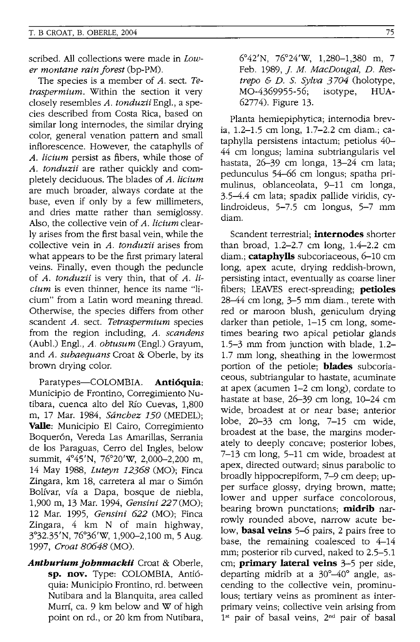scribed. All collections were made in *Lower montane rain forest* (bp-PM).

The species is a member of *A.* sect. *Tetraspermium.* Within the section it very closely resembles *A. tonduzii* Engl., a species described from Costa Rica, based on similar long internodes, the similar drying color, general venation pattern and small inflorescence. However, the cataphylls of *A. licium* persist as fibers, while those of *A. tonduzii* are rather quickly and completely deciduous. The blades of *A. licium*  are much broader, always cordate at the base, even if only by a few millimeters, and dries matte rather than semiglossy. Also, the collective vein of *A. licium* clearly arises from the first basal vein, while the collective vein in *A. tonduzii* arises from what appears to be the first primary lateral veins. Finally, even though the peduncle of *A. tonduzii* is very thin, that of *A. licium* is even thinner, hence its name "licium" from a Latin word meaning thread. Otherwise, the species differs from other scandent *A.* sect. *Tetraspermium* species from the region including, *A. scandens*  (Aubl.) Engl., *A. obtusum* (Engl.) Grayum, and *A. subaequans* Croat & Oberle, by its brown drying color.

Paratypes-COLOMBIA. **Antioquia:**  Municipio de Frontino, Corregimiento Nutibara, cuenca alto del Rio Cuevas, 1,800 m, 17 Mar. 1984, *Sanchez 150* (MEDEL); **VaIle:** Municipio El Cairo, Corregimiento Boquerón, Vereda Las Amarillas, Serrania de los Paraguas, Cerro del Ingles, below summit, 4°45'N, 76°20'W, 2,000-2,200 m, 14 May 1988, *Luteyn* 12368 (MO); Finca Zingara, km 18, carretera al mar o Simón Boifvar, vfa a Dapa, bosque de niebla, 1,900 m, 13 Mar. 1994, *Gensini* 227 (MO); 12 Mar. 1995, *Gensini* 622 (MO); Finca Zingara, 4 km N of main highway, 3°32.35'N, 76°36'w, 1,900-2,100 m, 5 Aug. 1997, *Croat 80648* (MO).

*Anthurium johnmackii* Croat & Oberle, **sp. nov.** Type: COLOMBIA, Antioquia: Municipio Frontino, rd. between Nutibara and la Blanquita, area called Murrf, ca. 9 km below and W of high point on rd., or 20 km from Nutibara, 6°42'N, 76°24'W, 1,280-1,380 m, 7 Feb. 1989,]. *M. MacDougal, D. Restrepo* & *D.* S. *Sylva 3704* (holotype, MO-4369955-56; isotype, HUA-62774). Figure 13.

Planta hemiepiphytica; internodia brevia, 1.2-1.5 cm long, 1.7-2.2 cm diam.; cataphylla persistens intactum; petiolus 40- 44 cm longus; lamina subtriangularis vel hastata, 26-39 cm longa, 13-24 cm lata; pedunculus 54-66 cm longus; spatha primulinus, oblanceolata, 9-11 cm longa, 3.5–4.4 cm lata; spadix pallide viridis, cylindroideus, 5-7.5 cm longus, 5-7 mm diam.

Scan dent terrestrial; **internodes** shorter than broad, 1.2-2.7 cm long, 1.4-2.2 cm diam.; **cataphylls** subcoriaceous, 6-10 cm long, apex acute, drying reddish-brown, persisting intact, eventually as coarse liner fibers; LEAVES erect-spreading; **petioles**  28-44 cm long, 3-5 mm diam., terete with red or maroon blush, geniculum drying darker than petiole, 1-15 cm long, sometimes bearing two apical petiolar glands 1.5-3 mm from junction with blade, 1.2- 1.7 mm long, sheathing in the lowermost portion of the petiole; **blades** subcoriaceous, subtriangular to hastate, acuminate at apex (acumen 1-2 cm long), cordate to hastate at base, 26-39 cm long, 10-24 cm wide, broadest at or near base; anterior lobe, 20-33 cm long, 7-15 cm wide, broadest at the base, the margins moderately to deeply concave; posterior lobes, 7-13 cm long, 5-11 cm wide, broadest at apex, directed outward; sinus parabolic to broadly hippocrepiform, 7-9 cm deep; upper surface glossy, drying brown, matte; lower and upper surface concolorous, bearing brown punctations; **midrib** narrowly rounded above, narrow acute below, **basal veins** 5-6 pairs, 2 pairs free to base, the remaining coalesced to 4-14 mm; posterior rib curved, naked to 2.5-5.1 cm; **primary lateral veins** 3-5 per side, departing midrib at a 30°-40° angle, ascending to the collective vein, prominulous; tertiary veins as prominent as interprimary veins; collective vein arising from 1<sup>st</sup> pair of basal veins, 2<sup>nd</sup> pair of basal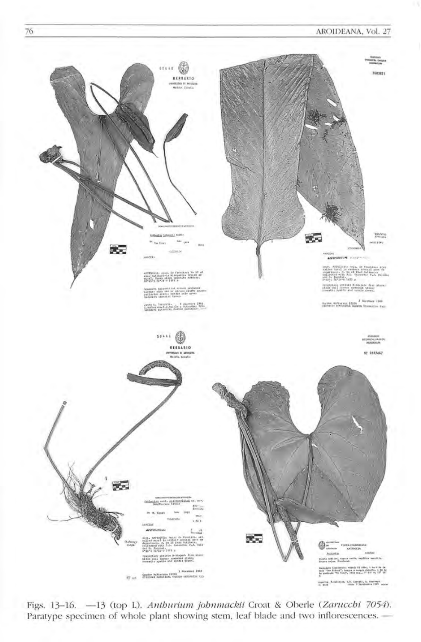

Figs. 13-16. - 13 (top L). Anthurium johnmackii Croat & Oberle (Zarucchi 7054). Paratype specimen of whole plant showing stem, leaf blade and two inflorescences. -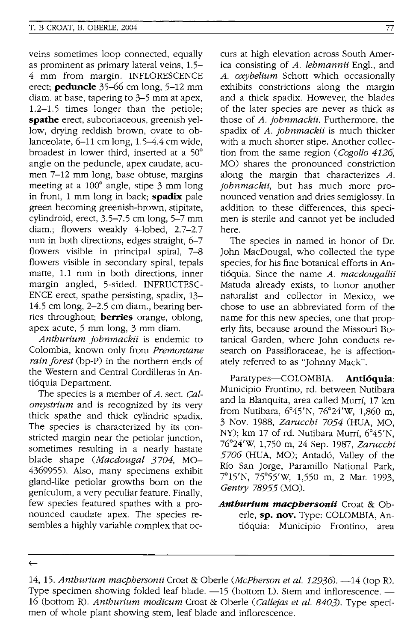veins sometimes loop connected, equally as prominent as primary lateral veins, 1.5- 4 mm from margin. INFLORESCENCE erect; **peduncle** 35-66 cm long, 5-12 mm diam. at base, tapering to 3-5 mm at apex, 1.2-1.5 times longer than the petiole; **spathe** erect, subcoriaceous, greenish yellow, drying reddish brown, ovate to oblanceolate, 6-11 cm long, 1.5-4.4 cm wide, broadest in lower third, inserted at a 50° angle on the peduncle, apex caudate, acumen 7-12 mm long, base obtuse, margins meeting at a 100° angle, stipe 3 mm long in front, 1 mm long in back; **spadix** pale green becoming greenish-brown, stipitate, cylindroid, erect, 3.5-7.5 cm long, 5-7 mm diam.; flowers weakly 4-lobed, 2.7-2.7 mm in both directions, edges straight, 6-7 flowers visible in principal spiral, 7-8 flowers visible in secondary spiral, tepals matte, 1.1 mm in both directions, inner margin angled, 5-sided. INFRUCTESC-ENCE erect, spathe persisting, spadix, 13- 14.5 cm long, 2-2.5 cm diam., bearing berries throughout; **berries** orange, oblong, apex acute, 5 mm long, 3 mm diam.

*Anthurium johnmackii* is endemic to Colombia, known only from *Premontane rain forest* (bp-P) in the northern ends of the Western and Central Cordilleras in Antioquia Department.

The species is a member of *A.* sect. *Calomystrium* and is recognized by its very thick spathe and thick cylindric spadix. The species is characterized by its constricted margin near the petiolar junction, sometimes resulting in a nearly hastate blade shape *(Macdougal 3704,* MO-4369955). Also, many specimens exhibit gland-like petiolar growths born on the geniculum, a very peculiar feature. Finally, few species featured spathes with a pronounced caudate apex. The species resembles a highly variable complex that occurs at high elevation across South America consisting of *A. lehmannii* Engl., and *A. oxybe/ium* Schott which occasionally exhibits constrictions along the margin and a thick spadix. However, the blades of the later species are never as thick as those of *A. johnmackii.* Furthermore, the spadix of *A. johnmackii* is much thicker with a much shorter stipe. Another collection from the same region *(Cogollo 4126,*  MO) shares the pronounced constriction along the margin that characterizes A. *johnmackii,* but has much more pronounced venation and dries semiglossy. In addition to these differences, this specimen is sterile and cannot yet be included here.

The species in named in honor of Dr. John MacDougal, who collected the type species, for his fine botanical efforts in Antioquia. Since the name *A. macdougallii*  Matuda already exists, to honor another naturalist and collector in Mexico, we chose to use an abbreviated form of the name for this new species, one that properly fits, because around the Missouri Botanical Garden, where John conducts research on Passifloraceae, he is affectionately referred to as "Johnny Mack".

Paratypes-COLOMBIA. **Anti6quia:**  Municipio Frontino, rd. between Nutibara and la Blanquita, area called Murrf, 17 km from Nutibara, 6°45'N, 76°24'W, 1,860 m, 3 Nov. 1988, *Zarucchi 7054* (HUA, MO, NY); km 17 of rd. Nutibara Murrf, 6°45'N, 76°24'W, 1,750 m, 24 Sep. 1987, *Zarucchi 5706* (HUA, MO); Antado, Valley of the Rfo San Jorge, Paramillo National Park, 7°15'N, 75°55'W, 1,550 m, 2 Mar. 1993, *Gentry* 78955 (MO).

*Anthurlum macphersonii* Croat & Oberle, **sp. nov.** Type: COLOMBIA, Antioquia: Municipio Frontino, area

 $\leftarrow$ 

<sup>14, 15.</sup> *Anthurium macphersonii* Croat & Oberle *(McPherson et al.* 12936). -14 (top R). Type specimen showing folded leaf blade. -15 (bottom L). Stem and inflorescence. -16 (bottom R). *Anthurium modicum* Croat & Oberle *(Callejas et al. 8403).* Type specimen of whole plant showing stem, leaf blade and inflorescence.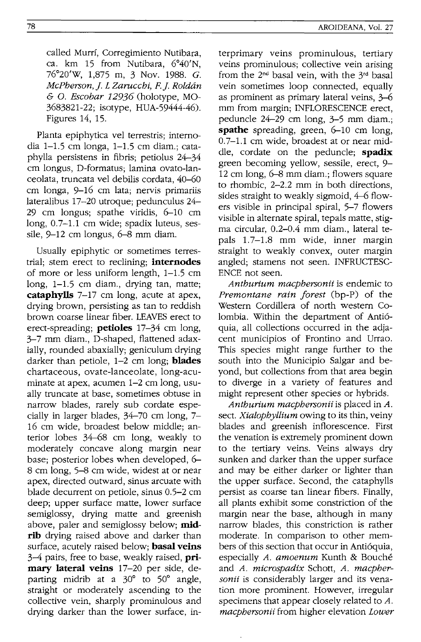called Murrí, Corregimiento Nutibara, ca. km 15 from Nutibara, 6°40'N, 76°20'W, 1,875 m, 3 Nov. 1988. G. *McPherson,]. L Zarncchi, F.]. Roldan*  & o. *Escobar* 12936 (holotype, MO-3683821-22; isotype, HUA-59444-46). Figures 14, 15.

Planta epiphytica vel terrestris; internodia 1-1.5 cm longa, 1-1.5 cm diam.; cataphylla persistens in fibris; petiolus 24-34 cm longus, D-formatus; lamina ovato-Ianceolata, truncata vel debilis cordata, 40-60 cm longa, 9-16 cm lata; nervis primariis lateralibus 17-20 utroque; pedunculus 24- 29 cm longus; spathe viridis, 6-10 cm long, 0.7-1.1 cm wide; spadix luteus, sessile, 9-12 cm longus, 6-8 mm diam.

Usually epiphytic or sometimes terrestrial; stem erect to reclining; **internodes**  of more or less uniform length, 1-1.5 cm long, 1-1.5 cm diam., drying tan, matte; **cataphylls** 7-17 cm long, acute at apex, drying brown, persisting as tan to reddish brown coarse linear fiber. LEAVES erect to erect-spreading; **petioles** 17-34 cm long, 3-7 mm diam., D-shaped, flattened adaxially, rounded abaxially; geniculum drying darker than petiole, 1-2 cm long; **blades**  chartaceous, ovate-Ianceolate, long-acuminate at apex, acumen 1-2 cm long, usually truncate at base, sometimes obtuse in narrow blades, rarely sub cordate especially in larger blades, 34-70 cm long, 7- 16 cm wide, broadest below middle; anterior lobes 34-68 cm long, weakly to moderately concave along margin near base; posterior lobes when developed, 6- 8 cm long, 5-8 cm wide, widest at or near apex, directed outward, sinus arcuate with blade decurrent on petiole, sinus 0.5-2 cm deep; upper surface matte, lower surface semiglossy, drying matte and greenish above, paler and semiglossy below; **midrib** drying raised above and darker than surface, acutely raised below; **basal veins**  3-4 pairs, free to base, weakly raised, **primary lateral veins** 17-20 per side, departing midrib at a 30° to 50° angle, straight or moderately ascending to the collective vein, sharply prominulous and drying darker than the lower surface, in-

terprimary veins prominulous, tertiary veins prominulous; collective vein arising from the  $2^{nd}$  basal vein, with the  $3^{rd}$  basal vein sometimes loop connected, equally as prominent as primary lateral veins, 3-6 mm from margin; INFLORESCENCE erect, peduncle 24-29 cm long, 3-5 mm diam.; **spathe** spreading, green, 6-10 cm long, 0.7-1.1 cm wide, broadest at or near middle, cordate on the peduncle; **spadix**  green becoming yellow, sessile, erect, 9- 12 cm long, 6-8 mm diam.; flowers square to rhombic, 2-2.2 mm in both directions, sides straight to weakly sigmoid, 4-6 flowers visible in principal spiral, 5-7 flowers visible in alternate spiral, tepals matte, stigma circular, 0.2-0.4 mm diam., lateral tepals 1.7-1.8 mm wide, inner margin straight to weakly convex, outer margin angled; stamens not seen. INFRUCTESC-ENCE not seen.

*Anthurium macphersonii* is endemic to *Premontane rain forest* (bp-P) of the Western Cordillera of north western Colombia. Within the department of Anti6 quia, all collections occurred in the adjacent municipios of Frontino and Urrao. This species might range further to the south into the Municipio Salgar and beyond, but collections from that area begin to diverge in a variety of features and might represent other species or hybrids.

*Anthurium macphersonii* is placed in *A.*  sect. *Xialophyllium* owing to its thin, veiny blades and greenish inflorescence. First the venation is extremely prominent down to the tertiary veins. Veins always dry sunken and darker than the upper surface and may be either darker or lighter than the upper surface. Second, the cataphylls persist as coarse tan linear fibers. Finally, all plants exhibit some constriction of the margin near the base, although in many narrow blades, this constriction is rather moderate. In comparison to other members of this section that occur in Anti6quia, especially *A. amoenum* Kunth & Bouche and *A. microspadix* Schott, *A. macphersonii* is considerably larger and its venation more prominent. However, irregular specimens that appear closely related to *A. macphersonii* from higher elevation *Lower*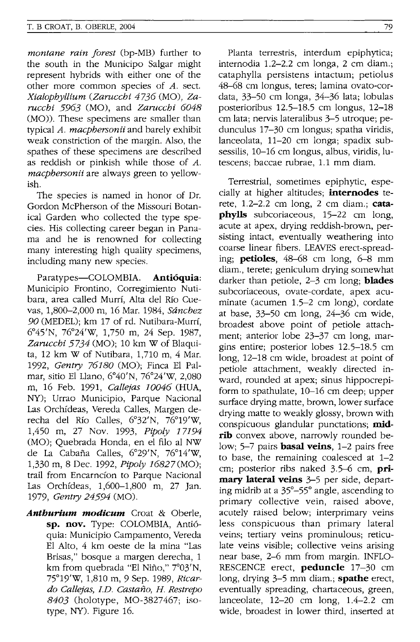*montane rain forest* (bp-MB) further to the south in the Municipo Salgar might represent hybrids with either one of the other more common species of *A.* sect. *Xialopbyllium (Zaruccbi* 4736 (MO), *Zaruccbi* 5963 (MO), and *Zaruccbi 6048*  (MO)). These specimens are smaller than typical *A. macpbersonii* and barely exhibit weak constriction of the margin. Also, the spathes of these specimens are described as reddish or pinkish while those of *A. macpbersonii* are always green to yellowish.

The species is named in honor of Dr. Gordon McPherson of the Missouri Botanical Garden who collected the type species. His collecting career began in Panama and he is renowned for collecting many interesting high quality specimens, including many new species.

Paratypes-COLOMBIA. Antióquia: Municipio Frontino, Corregimiento Nutibara, area called Murri, Alta del Rio Cuevas, 1,800-2,000 m, 16 Mar. 1984, *Sancbez 90* (MEDEL); km 17 of rd. Nutibara-Murri, 6°45'N, 76°24'W, 1,750 m, 24 Sep. 1987, *Zaruccbi* 5734 (MO); 10 km W of Blaquita, 12 km W of Nutibara, 1,710 m, 4 Mar. 1992, *Gentry 76180* (MO); Finca EI Palmar, sitio EI Llano, 6°40'N, 76°24'W, 2,080 m, 16 Feb. 1991, *Callejas 10046* (HUA, NY); Urrao Municipio, Parque Nacional Las Orchfdeas, Vereda Calles, Margen derecha del Rio Calles, 6°32'N, 76°19'W, 1,450 m, 27 Nov. 1993, *Pipo/y 17194*  (MO); Quebrada Honda, en el filo al NW de La Cabana Calles, 6°29'N, 76°14'W, 1,330 m, 8 Dec. 1992, *Pipoly* 16827(MO); trail from Encarncfon to Parque Nacional Las Orchfdeas, 1,600-1,800 m, 27 Jan. 1979, *Gentry* 24594 (MO).

*Anthurium modicum* Croat & Oberle, sp. nov. Type: COLOMBIA, Anti6 quia: Municipio Campamento, Vereda EI Alto, 4 km oeste de la mina "Las Brisas," bosque a margen derecha, 1 km from quebrada "El Nino," 7°03'N, 75°19'W, 1,810 m, 9 Sep. 1989, *Ricardo Callejas,* J.D. *Castano, H. Restrepo 8403* (holotype, MO-3827467; isotype, NY). Figure 16.

Planta terrestris, interdum epiphytica; internodia 1.2-2.2 cm longa, 2 cm diam.; cataphylla persistens intactum; petiolus 48-68 cm longus, teres; lamina ovato-cordata, 33-50 cm longa, 34-36 lata; lobulas posterioribus 12.5-18.5 cm longus, 12-18 cm lata; nervis lateralibus 3-5 utroque; pedunculus 17-30 cm longus; spatha viridis, lanceolata, 11-20 cm longa; spadix subsessilis, 10-16 cm longus, albus, viridis, lutescens; baccae rubrae, 1.1 mm diam.

Terrestrial, sometimes epiphytic, especially at higher altitudes; internodes terete,  $1.2-2.2$  cm long,  $2$  cm diam.; cataphylls subcoriaceous, 15-22 cm long, acute at apex, drying reddish-brown, persisting intact, eventually weathering into coarse linear fibers. LEAVES erect-spreading; petioles, 48-68 cm long, 6-8 mm diam., terete; geniculum drying somewhat darker than petiole, 2-3 cm long; **blades** subcoriaceous, ovate-cordate, apex acuminate (acumen 1.5-2 cm long), cordate at base, 33-50 cm long, 24-36 cm wide, broadest above point of petiole attachment; anterior lobe 23-37 cm long, margins entire; posterior lobes 12.5-18.5 cm long, 12-18 cm wide, broadest at point of petiole attachment, weakly directed inward, rounded at apex; sinus hippocrepiform to spathulate, 10-16 cm deep; upper surface drying matte, brown, lower surface drying matte to weakly glossy, brown with conspicuous glandular punctations; midrib convex above, narrowly rounded below; 5-7 pairs **basal veins**, 1-2 pairs free to base, the remaining coalesced at 1-2 cm; posterior ribs naked 3.5-6 cm, primary lateral veins 3-5 per side, departing midrib at a 35°-55° angle, ascending to primary collective vein, raised above, acutely raised below; interprimary veins less conspicuous than primary lateral veins; tertiary veins prominulous; reticulate veins visible; collective veins arising near base, 2-6 mm from margin. INFLO-RESCENCE erect, peduncle 17-30 cm long, drying 3–5 mm diam.; **spathe** erect, eventually spreading, chartaceous, green, lanceolate, 12-20 cm long, 1.4-2.2 cm wide, broadest in lower third, inserted at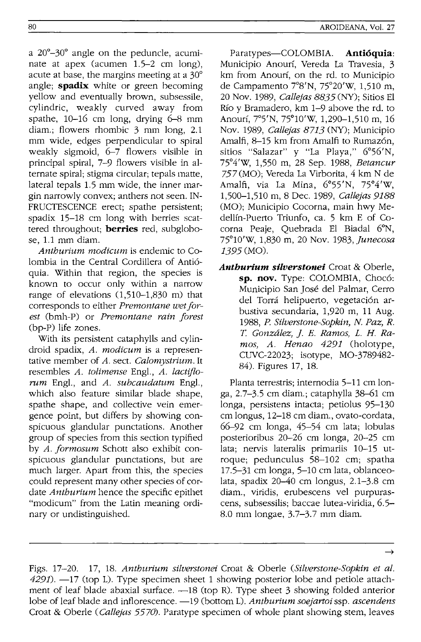a 20°-30° angle on the peduncle, acuminate at apex (acumen 1.5-2 cm long), acute at base, the margins meeting at a 30° angle; **spadix** white or green becoming yellow and eventually brown, subsessile, cylindric, weakly curved away from spathe,  $10-16$  cm long, drying  $6-8$  mm diam.; flowers rhombic 3 mm long, 2.1 mm wide, edges perpendicular to spiral weakly sigmoid, 6-7 flowers visible in principal spiral, 7-9 flowers visible in alternate spiral; stigma circular; tepals matte, lateral tepals 1.5 mm wide, the inner margin narrowly convex; anthers not seen. IN-FRUCTESCENCE erect; spathe persistent; spadix 15-18 cm long with berries scattered throughout; **berries** red, subglobose, 1.1 mm diam.

*Anthurium modicum* is endemic to Colombia in the Central Cordillera of Antioquia. Within that region, the species is known to occur only within a narrow range of elevations (1,510-1,830 m) that corresponds to either *Premontane wet forest* (brnh-P) or *Premontane rain forest*  (bp-P) life zones.

With its persistent cataphylls and cylindroid spadix, *A. modicum* is a representative member of *A.* sect. *Calomystrium.* It resembles *A. tolimense* Engl., *A. lactiflorum* Engl., and *A. subcaudatum* Engl., which also feature similar blade shape, spathe shape, and collective vein emergence point, but differs by showing conspicuous glandular punctations. Another group of species from this section typified by *A. formosum* Schott also exhibit conspicuous glandular punctations, but are much larger. Apart from this, the species could represent many other species of cordate *Anthurium* hence the specific epithet "modicum" from the Latin meaning ordinary or undistinguished.

Paratypes-COLOMBIA. **Antioquia:**  Municipio Anourí, Vereda La Travesia, 3 km from Anouri, on the rd. to Municipio de Campamento 7°8'N, 75°20'W, 1,510 m, 20 Nov. 1989, *Callejas* 8835 (NY); Sitios El Río y Bramadero, km 1-9 above the rd. to Anourí, 7°5'N, 75°10'W, 1,290-1,510 m, 16 Nov. 1989, *Callejas* 8713 (NY); Municipio Amalfi, 8-15 km from Amalfi to Rumazón, sitios "Salazar" y "La Playa," 6°56'N, 75°4'W, 1,550 m, 28 Sep. 1988, *Betancur*  757 (MO); Vereda La Virborita, 4 km N de Amalfi, via La Mina, 6°55'N, 75°4'W, 1,500-1,510 m, 8 Dec. 1989, *Callejas 9188*  (MO); Municipio Cocorna, main hwy Medellin-Puerto Triunfo, ca. 5 km E of Cocorna Peaje, Quebrada El Biadal 6°N, 75°10'W, 1,830 m, 20 Nov. 1983, *Junecosa*  1395 (MO).

*Anthurium silverstonei* Croat & Oberle, sp. nov. Type: COLOMBIA, Chocó: Municipio San Jose del Palmar, Cerro del Torrá helipuerto, vegetación arbustiva secundaria, 1,920 m, 11 Aug. 1988, *P. Silverstone-Sopkin,* N. *Paz, R. T. Gonzalez,* J. *E. Ramos, L. H. Ramos, A. Henao* 4291 (holotype, CUVC-22023; isotype, MO-3789482- 84). Figures 17, 18.

Planta terrestris; internodia 5-11 cm longa, 2.7-3.5 cm diam.; cataphylla 38-61 cm longa, persistens intacta; petiolus 95-130 cm longus, 12-18 cm diam., ovato-cordata, 66-92 cm longa, 45-54 cm lata; lobulas posterioribus 20-26 cm longa, 20-25 cm lata; nervis lateralis primariis 10-15 utroque; pedunculus 58-102 cm; spatha 17.5-31 cm longa, 5-10 cm lata, oblanceolata, spadix 20-40 cm longus, 2.1-3.8 cm diam., viridis, erubescens vel purpurascens, subsessilis; baccae lutea-viridia, 6.5- 8.0 mm longae, 3.7-3.7 mm diam.

 $\rightarrow$ 

Figs. 17-20. 17, 18. *Anthurium silverstonei* Croat & Oberle *(Silverstone-Sopkin et al.*   $4291$ ).  $-17$  (top L). Type specimen sheet 1 showing posterior lobe and petiole attachment of leaf blade abaxial surface.  $-18$  (top R). Type sheet 3 showing folded anterior lobe of leaf blade and inflorescence.  $-19$  (bottom L). *Anthurium soejartoi* ssp. *ascendens* Croat & Oberle *(Callejas 5570).* Paratype specimen of whole plant showing stem, leaves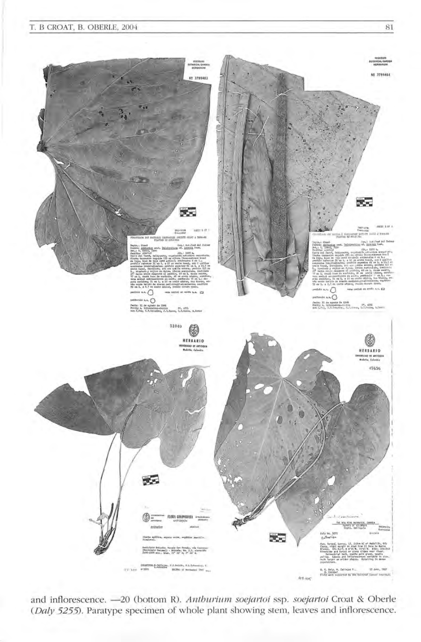#### T. B CROAT, B. OBERLE, 2004



and inflorescence. - 20 (bottom R). Anthurium soejartoi ssp. soejartoi Croat & Oberle (Daly 5255). Paratype specimen of whole plant showing stem, leaves and inflorescence.

81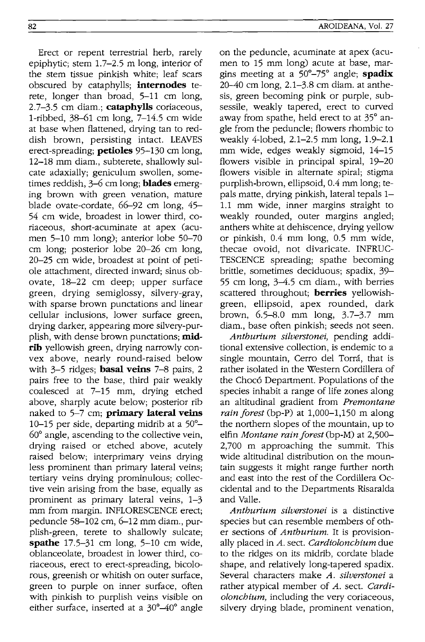Erect or repent terrestrial herb, rarely epiphytic; stem 1.7-2.5 m long, interior of the stem tissue pinkish white; leaf scars obscured by cataphylls; **internodes** terete, longer than broad, 5-11 cm long, 2.7-3.5 cm diam.; **catapbylls** coriaceous, I-ribbed, 38-61 cm long, 7-14.5 cm wide at base when flattened, drying tan to reddish brown, persisting intact. LEAVES erect-spreading; **petioles** 95-130 cm long, 12-18 mm diam., subterete, shallowly sulcate adaxially; geniculum swollen, sometimes reddish, 3-6 cm long; **blades** emerging brown with green venation, mature blade ovate-cordate, 66-92 cm long, 45- 54 cm wide, broadest in lower third, coriaceous, short-acuminate at apex (acumen 5-10 mm long); anterior lobe 50-70 cm long; posterior lobe 20-26 cm long, 20-25 cm wide, broadest at point of petiole attachment, directed inward; sinus obovate, 18-22 cm deep; upper surface green, drying semiglossy, silvery-gray, with sparse brown punctations and linear cellular inclusions, lower surface green, drying darker, appearing more silvery-purplish, with dense brown punctations; **midrib** yellowish green, drying narrowly convex above, nearly round-raised below with 3-5 ridges; **basal veins** 7-8 pairs, 2 pairs free to the base, third pair weakly coalesced at 7-15 mm, drying etched above, sharply acute below; posterior rib naked to 5-7 cm; **primary lateral veins**  10-15 per side, departing midrib at a 50°- 60° angle, ascending to the collective vein, drying raised or etched above, acutely raised below; interprimary veins drying less prominent than primary lateral veins; tertiary veins drying prominulous; collective vein arising from the base, equally as prominent as primary lateral veins, 1-3 mm from margin. INFLORESCENCE erect; peduncle 58-102 cm, 6-12 mm diam., purplish-green, terete to shallowly sulcate; **spathe** 17.5-31 cm long, 5-10 cm wide, oblanceolate, broadest in lower third, coriaceous, erect to erect-spreading, bicolorous, greenish or whitish on outer surface, green to purple on inner surface, often with pinkish to purplish veins visible on either surface, inserted at a 30°–40° angle on the peduncle, acuminate at apex (acumen to 15 mm long) acute at base, margins meeting at a 50°-75° angle; **spadix**  20-40 cm long, 2.1-3.8 cm diam. at anthesis, green becoming pink or purple, subsessile, weakly tapered, erect to curved away from spathe, held erect to at 35° angle from the peduncle; flowers rhombic to weakly 4-lobed, 2.1-2.5 mm long, 1.9-2.1 mm wide, edges weakly sigmoid, 14-15 flowers visible in principal spiral, 19-20 flowers visible in alternate spiral; stigma purplish-brown, ellipsoid, 0.4 mm long; tepals matte, drying pinkish, lateral tepals 1- 1.1 mm wide, inner margins straight to weakly rounded, outer margins angled; anthers white at dehiscence, drying yellow or pinkish, 0.4 mm long, 0.5 mm wide, thecae ovoid, not divaricate. INFRUC-TESCENCE spreading; spathe becoming brittle, sometimes deciduous; spadix, 39- 55 cm long, 3-4.5 cm diam., with berries scattered throughout; **berries** yellowishgreen, ellipsoid, apex rounded, dark brown, 6.5-8.0 mm long, 3.7-3.7 mm diam., base often pinkish; seeds not seen.

*Anthurium silverstonei,* pending additional extensive collection, is endemic to a single mountain, Cerro del Torrá, that is rather isolated in the Western Cordillera of the Chocó Department. Populations of the species inhabit a range of life zones along an altitudinal gradient from *Premontane rain forest* (bp-P) at 1,000–1,150 m along the northern slopes of the mountain, up to elfin *Montane rain forest* (bp-M) at 2,500- 2,700 m approaching the summit. This wide altitudinal distribution on the mountain suggests it might range further north and east into the rest of the Cordillera Occidental and to the Departments Risaralda and Valle.

*Anthurium silverstonei* is a distinctive species but can resemble members of other sections of *Anthurium.* It is provisionally placed in *A.* sect. *Cardiolonchium* due to the ridges on its midrib, cordate blade shape, and relatively long-tapered spadix. Several characters make *A. silverstonei* a rather atypical member of *A.* sect. *Cardiolonchium,* including the very coriaceous, silvery drying blade, prominent venation,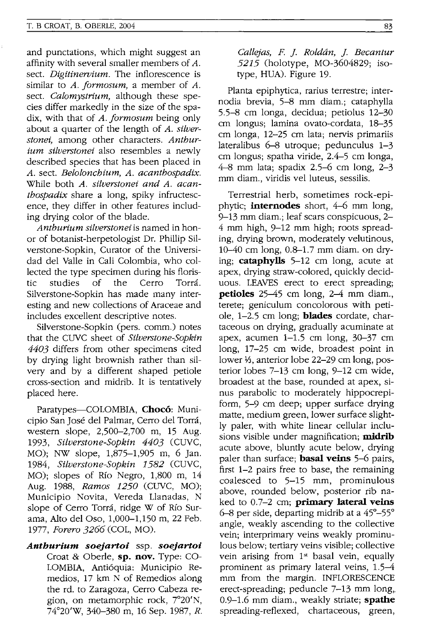and punctations, which might suggest an affinity with several smaller members of A. sect. *Digitinervium.* The inflorescence is similar to *A. formosum*, a member of *A.* sect. *Calomystrium,* although these species differ markedly in the size of the spadix, with that of *A. jormosum* being only about a quarter of the length of *A. silverstonei,* among other characters. *Anthurium silverstonei* also resembles a newly described species that has been placed in *A.* sect. *Belolonchium, A. acanthospadix.*  While both *A. silverstonei and A. acanthospadix* share a long, spiky infructescence, they differ in other features including drying color of the blade.

*Anthurium silverstonei* is named in honor of botanist-herpetologist Dr. Phillip Silverstone-Sopkin, Curator of the Universidad del Valle in Cali Colombia, who collected the type specimen during his floristic studies of the Cerro Torrá. Silverstone-Sopkin has made many interesting and new collections of Araceae and includes excellent descriptive notes.

Silverstone-Sopkin (pers. comm.) notes that the CUYC sheet of *Silverstone-Sopkin 4403* differs from other specimens cited by drying light brownish rather than silvery and by a different shaped petiole cross-section and midrib. It is tentatively placed here.

Paratypes-COLOMBIA, **Choco:** Municipio San José del Palmar, Cerro del Torrá, western slope, 2,500-2,700 m, 15 Aug. 1993, *Silverstone-Sopkin 4403* (CUYC, MO); NW slope, 1,875-1,905 m, 6 Jan. 1984, *Silverstone-Sopkin* 1582 (CUVC, MO); slopes of Rio Negro, 1,800 m, 14 Aug. 1988, *Ramos 1250* (CUYC, MO); Municipio Novita, Vereda Llanadas, N slope of Cerro Torrá, ridge W of Río Surama, Alto del *Oso,* 1,000-1,150 m, 22 Feb. 1977, *Forero* 3266 (COL, MO).

*Anthurium soejartoi* ssp. *soejartoi*  Croat & Oberle, **sp. nov.** Type: CO-LOMBIA, Anti6quia: Municipio Remedios, 17 km N of Remedios along the rd. to Zaragoza, Cerro Cabeza region, on metamorphic rock, 7°20'N, 74°20'W, 340-380 m, 16 Sep. 1987, *R.*  *Callejas, F.* ]. *Roldan,* ]. *Becantur*  5215 (holotype, MO-3604829; isotype, HUA). Figure 19.

Planta epiphytica, rarius terrestre; internodia brevia, 5-8 mm diam.; cataphylla 5.5-8 cm longa, decidua; petiolus 12-30 cm longus; lamina ovato-cordata, 18-35 cm longa, 12-25 cm lata; nervis primariis lateralibus 6-8 utroque; pedunculus 1-3 cm longus; spatha viride, 2.4-5 cm longa, 4-8 mm lata; spadix 2.5-6 cm long, 2-3 mm diam., viridis vel luteus, sessilis.

Terrestrial herb, sometimes rock-epiphytic; **internodes** short, 4-6 mm long, 9-13 mm diam.; leaf scars conspicuous, 2- 4 mm high, 9-12 mm high; roots spreading, drying brown, moderately velutinous, 10-40 cm long, 0.8-1.7 mm diam. on drying; **cataphylls** 5-12 cm long, acute at apex, drying straw-colored, quickly deciduous. LEAVES erect to erect spreading; **petioles** 25-45 cm long, 2-4 mm diam., terete; geniculum concolorous with petiole, 1-2.5 cm long; **blades** cordate, chartaceous on drying, gradually acuminate at apex, acumen  $1-1.5$  cm long,  $30-37$  cm long, 17-25 cm wide, broadest point in lower 1/<sub>3</sub>, anterior lobe 22–29 cm long, posterior lobes 7-13 cm long, 9-12 cm wide, broadest at the base, rounded at apex, sinus parabolic to moderately hippocrepiform, 5-9 cm deep; upper surface drying matte, medium green, lower surface slightly paler, with white linear cellular inclusions visible under magnification; **midrib**  acute above, bluntly acute below, drying paler than surface; **basal veins** 5-6 pairs, first 1-2 pairs free to base, the remaining coalesced to 5-15 mm, prominulous above, rounded below, posterior rib naked to 0.7-2 cm; **primary lateral veins**  6-8 per side, departing midrib at a 45°-55° angle, weakly ascending to the collective vein; interprimary veins weakly prominulous below; tertiary veins visible; collective vein arising from 1<sup>st</sup> basal vein, equally prominent as primary lateral veins, 1.5-4 mm from the margin. INFLORESCENCE erect-spreading; peduncle 7–13 mm long, 0.9-1.6 mm diam., weakly striate; **spathe**  spreading-reflexed, chartaceous, green,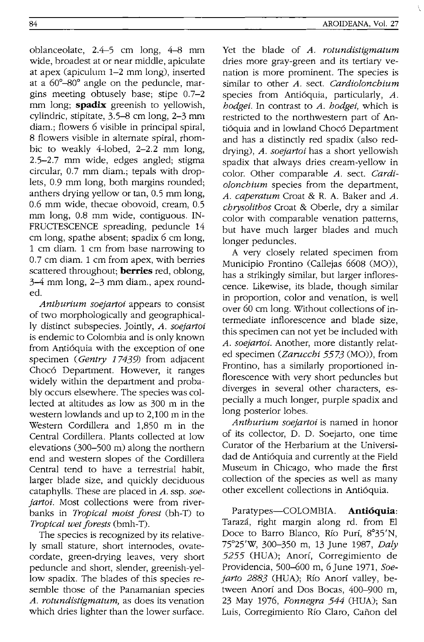oblanceolate, 2.4-5 em long, 4-8 mm wide, broadest at or near middle, apiculate at apex (apiculum 1-2 mm long), inserted at a 60°-80° angle on the peduncle, margins meeting obtusely base; stipe 0.7-2 mm long; **spadix** greenish to yellowish, cylindric, stipitate, 3.5-8 em long, 2-3 mm diam.; flowers 6 visible in principal spiral, 8 flowers visible in alternate spiral, rhombic to weakly 4-lobed, 2-2.2 mm long, 2.5-2.7 mm wide, edges angled; stigma circular, 0.7 mm diam.; tepals with droplets, 0.9 mm long, both margins rounded; anthers drying yellow or tan, 0.5 mm long, 0.6 mm wide, thecae obovoid, cream, 0.5 mm long, 0.8 mm wide, contiguous. IN-FRUCTESCENCE spreading, peduncle 14 em long, spathe absent; spadix 6 em long, 1 em diam. 1 em from base narrowing to 0.7 em diam. 1 em from apex, with berries scattered throughout; **berries** red, oblong, 3-4 mm long, 2-3 mm diam., apex rounded.

*Anthurium soejartoi* appears to consist of two morphologically and geographically distinct subspecies. Jointly, *A. soejartoi*  is endemic to Colombia and is only known from Antióquia with the exception of one specimen *(Gentry* 17439) from adjacent Chocó Department. However, it ranges widely within the department and probably occurs elsewhere. The species was collected at altitudes as low as 300 m in the western lowlands and up to 2,100 m in the Western Cordillera and 1,850 m in the Central Cordillera. Plants collected at low elevations (300-500 m) along the northern end and western slopes of the Cordillera Central tend to have a terrestrial habit, larger blade size, and quickly deciduous cataphylls. These are placed in *A.* ssp. *soejartoi*. Most collections were from riverbanks in *Tropical moist forest* (bh-T) to *Tropical wet forests* (bmh-T).

The species is recognized by its relatively small stature, short internodes, ovatecordate, green-drying leaves, very short peduncle and short, slender, greenish-yellow spadix. The blades of this species resemble those of the Panamanian species *A. rotundistigmatum,* as does its venation which dries lighter than the lower surface. Yet the blade of *A. rotundistigmatum*  dries more gray-green and its tertiary venation is more prominent. The species is similar to other *A.* sect. *Cardiolonchium*  species from Antióquia, particularly, A. *hodgei.* **In** contrast to *A. hodgei,* which is restricted to the northwestern part of Antióquia and in lowland Chocó Department and has a distinctly red spadix (also reddrying), *A. soejartoi* has a short yellowish spadix that always dries cream-yellow in color. Other comparable *A.* sect. *Cardiolonchium* species from the department, *A. caperatum* Croat & R. A. Baker and *A. chrysolithos* Croat & Oberle, dry a similar color with comparable venation patterns, but have much larger blades and much longer peduncles.

A very closely related specimen from Municipio Frontino (Callejas 6608 (MO)), has a strikingly similar, but larger inflorescence. Likewise, its blade, though similar in proportion, color and venation, is well over 60 em long. Without collections of intermediate inflorescence and blade size, this specimen can not yet be included with *A. soejartoi.* Another, more distantly related specimen *(Zarucchi* 5573 (MO)), from Frontino, has a similarly proportioned inflorescence with very short peduncles but diverges in several other characters, especially a much longer, purple spadix and long posterior lobes.

*Anthurium soejartoi* is named in honor of its collector, D. D. Soejarto, one time Curator of the Herbarium at the Universidad de Antioquia and currently at the Field Museum in Chicago, who made the first collection of the species as well as many other excellent collections in Antioquia.

Paratypes-COLOMBIA. **Anti6quia:**  Taraza, right margin along rd. from El Doce to Barro Blanco, Río Purí, 8°35'N, 75°25'W, 300-350 m, 13 June 1987, *Daly*  5255 (HUA); Anorí, Corregimiento de Providencia, 500-600 m, 6 June 1971, *Soe*jarto 2883 (HUA); Río Anorí valley, between Anorí and Dos Bocas, 400-900 m, 23 May 1976, *Fonnegra* 544 (HUA); San Luis, Corregimiento Rio Claro, Canon del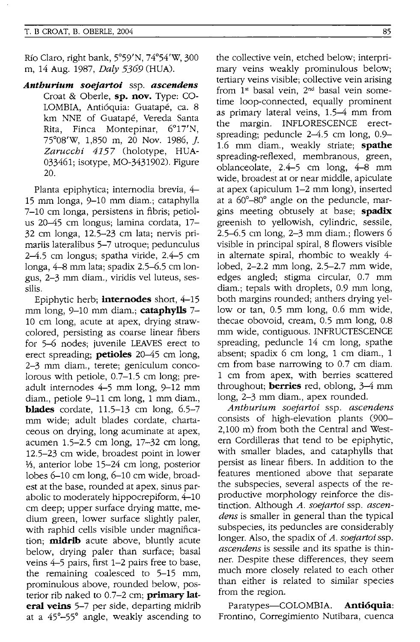Rio Claro, right bank, 5°59'N, 74°54'W, 300 m, 14 Aug. 1987, *Daly* 5369 (HUA).

*Anthurlum soejartoi* ssp. *ascendens*  Croat & Oberle, **sp. nov.** Type: CO-LOMBIA, Antióquia: Guatapé, ca. 8 km NNE of Guatape, Vereda Santa Rita, Finca Montepinar, 6°17'N, 75°08'W, 1,850 m, 20 Nov. 1986,]. *Zarucchi* 4157 (holotype, HUA-033461; isotype, MO-3431902). Figure 20.

Planta epiphytica; internodia brevia, 4- 15 mm longa, 9-10 mm diam.; cataphylla 7-10 cm longa, persistens in fibris; petiolus 20-45 cm longus; lamina cordata, 17- 32 cm longa, 12.5-23 cm lata; nervis primariis lateralibus 5-7 utroque; pedunculus 2-4.5 cm longus; spatha viride, 2.4-5 cm longa, 4-8 mm lata; spadix 2.5-6.5 cm longus, 2-3 mm diam., viridis vel luteus, sessilis.

Epiphytic herb; **internodes** short, 4-15 mm long, 9-10 mm diam.; **cataphylls** 7- 10 cm long, acute at apex, drying strawcolored, persisting as coarse linear fibers for 5-6 nodes; juvenile LEAVES erect to erect spreading; **petioles** 20-45 cm long, 2-3 mm diam., terete; geniculum concolorous with petiole, 0.7-1.5 cm long; preadult internodes 4-5 mm long, 9-12 mm diam., petiole 9-11 cm long, 1 mm diam., **blades** cordate, 11.5-13 cm long, 6.5-7 mm wide; adult blades cordate, chartaceous on drying, long acuminate at apex, acumen 1.5-2.5 cm long, 17-32 cm long, 12.5-23 cm wide, broadest point in lower 1/<sub>3</sub>, anterior lobe 15-24 cm long, posterior lobes 6-10 cm long, 6-10 cm wide, broadest at the base, rounded at apex, sinus parabolic to moderately hippocrepiform, 4-10 cm deep; upper surface drying matte, medium green, lower surface slightly paler, with raphid cells visible under magnification; **midrib** acute above, bluntly acute below, drying paler than surface; basal veins 4-5 pairs, first 1-2 pairs free to base, the remaining coalesced to 5-15 mm, prominulous above, rounded below, posterior rib naked to 0.7-2 cm; **primary lateral veins** 5-7 per side, departing midrib at a 45°-55° angle, weakly ascending to the collective vein, etched below; interprimary veins weakly prominulous below; tertiary veins visible; collective vein arising from 1<sup>st</sup> basal vein, 2<sup>nd</sup> basal vein sometime loop-connected, equally prominent as primary lateral veins, 1.5-4 mm from the margin. INFLORESCENCE erectspreading; peduncle  $2-4.5$  cm long,  $0.9-$ 1.6 mm diam., weakly striate; **spathe**  spreading-reflexed, membranous, green, oblanceolate,. 2.4-5 cm long, 4-8 mm wide, broadest at or near middle, apiculate at apex (apiculum 1-2 mm long), inserted at a 60°-80° angle on the peduncle, margins meeting obtusely at base; **spadix**  greenish to yellowish, cylindric, sessile, 2.5-6.5 cm long, 2-3 mm diam.; flowers 6 visible in principal spiral, 8 flowers visible in alternate spiral, rhombic to weakly 4 lobed, 2-2.2 mm long, 2.5-2.7 mm wide, edges angled; stigma circular, 0.7 mm diam.; tepals with droplets, 0.9 mm long, both margins rounded; anthers drying yellow or tan, 0.5 mm long, 0.6 mm wide, thecae obovoid, cream, 0.5 mm long, 0.8 mm wide, contiguous. INFRUCTESCENCE spreading, peduncle 14 cm long, spathe

absent; spadix 6 cm long, 1 cm diam., 1 cm from base narrowing to 0.7 cm diam. 1 cm from apex, with berries scattered throughout; **berries** red, oblong, 3-4 mm long, 2-3 mm diam., apex rounded.

*Anthurium soejartoi* ssp. *ascendens*  consists of high-elevation plants (900- 2,100 m) from both the Central and Western Cordilleras that tend to be epiphytic, with smaller blades, and cataphylls that persist as linear fibers. In addition to the features mentioned above that separate the subspecies, several aspects of the reproductive morphology reinforce the distinction. Although *A. soejartoi* ssp. *ascendens* is smaller in general than the typical subspecies, its peduncles are considerably longer. Also, the spadix of *A. soejartoi* ssp. *ascendens* is sessile and its spathe is thinner. Despite these differences, they seem much more closely related to each other than either is related to similar species from the region.

Paratypes-COLOMBIA. **Antioquia:**  Frontino, Corregimiento Nutibara, cuenca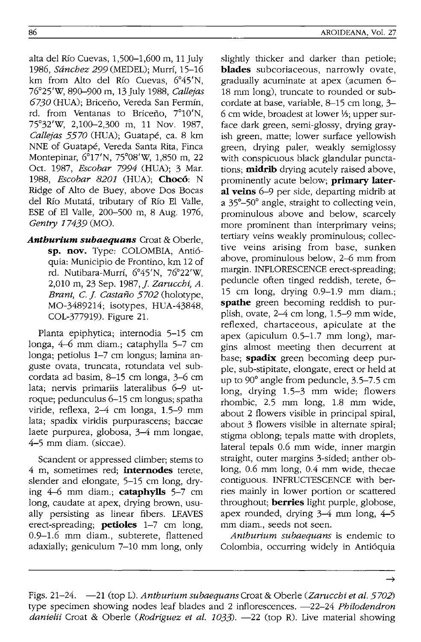alta del Rio Cuevas, 1,500-1,600 m, 11 July 1986, *Sánchez 2*99 (MEDEL): Murrí, 15-16 km from Alto del Río Cuevas, 6°45'N, 76°25'W, 890-900 m, 13July 1988, *Callejas 6730* (HUA); Briceno, Vereda San Fermin, rd. from Ventanas to Briceño, 7°10'N, 75°32'W, 2,100-2,300 m, 11 Nov. 1987, *Callejas 5570* (HUA); Guatape, ca. 8 km NNE of Guatape, Vereda Santa Rita, Finca Montepinar, 6°17'N, 75°08'W, 1,850 m, 22 Oct. 1987, *Escobar* 7994 (HUA); 3 Mar. *1988, Escobar 8201* (HUA); **Choc6:** N Ridge of Alto de Buey, above Dos Bocas del Río Mutatá, tributary of Río El Valle, ESE of EI Valle, 200-500 m, 8 Aug. 1976, *Gentry* 17439 (MO).

*Antburium subaequans* Croat & Oberle, **sp. nov.** Type: COLOMBIA, Anti6 quia: Municipio de Frontino, km 12 of rd. Nutibara-Murrf, 6°45'N, 76°22'W, 2,010 m, 23 Sep. 1987,]. *Zarucchi, A. Brant,* c.]. *Castano 5702* (holotype, MO-3489214; isotypes, HUA-43848, COL-377919). Figure 21.

Planta epiphytica; internodia 5-15 em longa, 4-6 mm diam.; cataphylla 5-7 em longa; petiolus 1-7 em longus; lamina anguste ovata, truncata, rotundata vel subcordata ad basim, 8-15 em longa, 3-6 em lata; nervis primariis lateralibus 6-9 utroque; pedunculus 6-15 em longus; spatha viride, reflexa, 2-4 em longa, 1.5-9 mm lata; spadix viridis purpurascens; baccae laete purpurea, globosa, 3-4 mm longae, 4-5 mm diam. (siccae).

Scandent or appressed climber; stems to 4 m, sometimes red; **internodes** terete, slender and elongate, 5-15 em long, drying 4-6 mm diam.; **cataphylls** 5-7 em long, caudate at apex, drying brown, usually persisting as linear fibers. LEAVES erect-spreading; **petioles** 1-7 em long, 0.9-1.6 mm diam., subterete, flattened adaxially; geniculum 7-10 mm long, only slightly thicker and darker than petiole; **blades** subcoriaceous, narrowly ovate, gradually acuminate at apex (acumen 6- 18 mm long), truncate to rounded or subcordate at base, variable, 8-15 em long, 3- 6 cm wide, broadest at lower 1/3; upper surface dark green, semi-glossy, drying grayish green, matte; lower surface yellowish green, drying paler, weakly semiglossy with conspicuous black glandular punctations; **midrib** drying acutely raised above, prominently acute below; **primary lateral veins** 6-9 per side, departing midrib at a 35°-50° angle, straight to collecting vein, prominulous above and below, scarcely more prominent than interprimary veins; tertiary veins weakly prominulous; collective veins arising from base, sunken above, prominulous below, 2-6 mm from margin. INFLORESCENCE erect-spreading; peduncle often tinged reddish, terete, 6- 15 em long, drying 0.9-1.9 mm diam.; **spathe** green becoming reddish to purplish, ovate, 2-4 em long, 1.5-9 mm wide, reflexed, chartaceous, apiculate at the apex (apiculum 0.5-1.7 mm long), margins almost meeting then decurrent at base; **spadix** green becoming deep purple, sub-stipitate, elongate, erect or held at up to 90° angle from peduncle, 3.5-7.5 em long, drying 1.5-3 mm wide; flowers rhombic, 2.5 mm long, 1.8 mm wide, about 2 flowers visible in principal spiral, about 3 flowers visible in alternate spiral; stigma oblong; tepals matte with droplets, lateral tepals 0.6 mm wide, inner margin straight, outer margins 3-sided; anther oblong, 0.6 mm long, 0.4 mm wide, thecae contiguous. INFRUCTESCENCE with berries mainly in lower portion or scattered throughout; **berries** light purple, globose, apex rounded, drying 3-4 mm long, 4-5 mm diam., seeds not seen.

*Anthurium subaequans* is endemic to Colombia, occurring widely in Anti6quia

Figs. 21-24. -21 (top L). *Anthurium subaequansCroat* & Oberle *(Zarucchi et al. 5702)*  type specimen showing nodes leaf blades and 2 inflorescences. -22-24 *Philodendron*  danielii Croat & Oberle *(Rodriguez et al. 1033)*. -22 (top R). Live material showing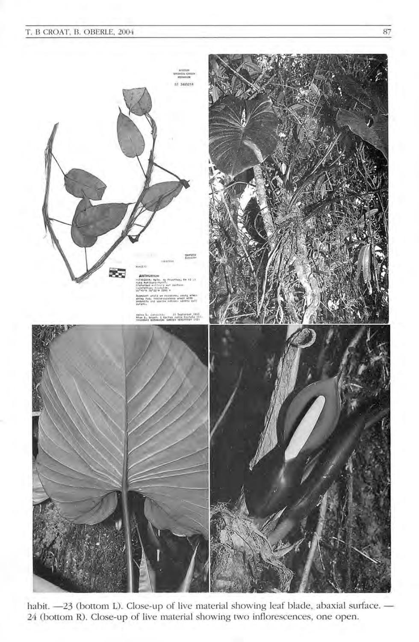### T. B CROAT, B. OBERlE, 2004 87



habit. -23 (bottom L). Close-up of live material showing leaf blade, abaxial surface. -24 (bottom R). Close-up of live material showing two inflorescences, one open.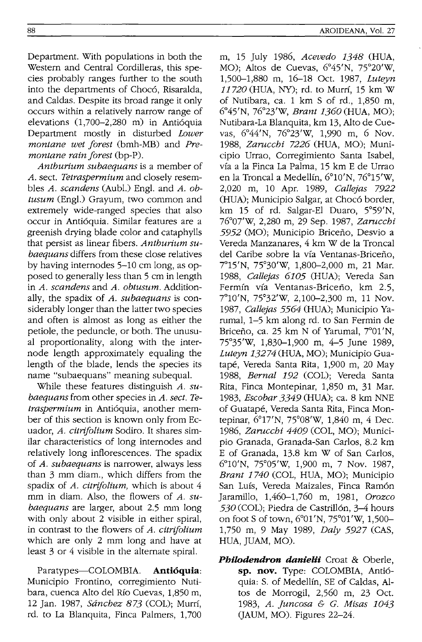88

Department. With populations in both the Western and Central Cordilleras, this species probably ranges further to the south into the departments of Chocó, Risaralda, and Caldas. Despite its broad range it only occurs within a relatively narrow range of elevations (1,700-2,280 m) in Antióquia Department mostly in disturbed *Lower montane wet forest* (bmh-MB) and *Premontane rain forest* (bp-P).

*Anthurium subaequans* is a member of *A.* sect. *Tetraspermium* and closely resembles *A. scandens* (Aubl.) Engl. and *A. obtusum* (Engl.) Grayum, two common and extremely wide-ranged species that also occur in Antioquia. Similar features are a greenish drying blade color and cataphylls that persist as linear fibers. *Anthurium subaequans* differs from these close relatives by having internodes 5-10 cm long, as opposed to generally less than 5 cm in length in *A. scandens* and *A. obtusum.* Additionally, the spadix of *A. subaequans* is considerably longer than the latter two species and often is almost as long as either the petiole, the peduncle, or both. The unusual proportionality, along with the internode length approximately equaling the length of the blade, lends the species its name "subaequans" meaning subequal.

While these features distinguish *A. subaequans* from other species in *A. sect. Tetraspermium* in Antioquia, another member of this section is known only from Ecuador, *A. citrifolium* Sodiro. It shares similar characteristics of long internodes and relatively long inflorescences. The spadix of *A. subaequans* is narrower, always less than 3 mm diam., which differs from the spadix of *A. citrifolium,* which is about 4 mm in diam. Also, the flowers of A. *subaequans* are larger, about 2.5 mm long with only about 2 visible in either spiral, in contrast to the flowers of *A. citrifolium*  which are only 2 mm long and have at least 3 or 4 visible in the alternate spiral.

Paratypes-COLOMBIA. **Antioquia:**  Municipio Frontino, corregimiento Nutibara, cuenca Alto del Rfo Cuevas, 1,850 m, 12 Jan. 1987, *Sanchez* 873 (COL); Murrf, rd. to La Blanquita, Finca Palmers, 1,700

m, 15 July 1986, *Acevedo* 1348 (HUA, MO); Altos de Cuevas, 6°45'N, 75°20'W, 1,500-1,880 m, 16-18 Oct. 1987, *Luteyn 11720* (HUA, NY); rd. to Murrf, 15 km W of Nutibara, ca. 1 km S of rd., 1,850 m, 6°45'N, 76°23'W, *Brant 1360* (HUA, MO); Nutibara-La Blanquita, km 13, Alto de Cuevas, 6°44'N, 76°23'W, 1,990 m, 6 Nov. *1988, Zarucchi* 7226 (HUA, MO); Municipio Urrao, Corregimiento Santa Isabel, vfa a la Finca La Palma, 15 km E de Urrao en la Troncal a Medellfn, 6°10'N, 76°15'W, 2,020 m, 10 Apr. 1989, *Callejas 7922*  (HUA); Municipio Salgar, at Choco border, km 15 of rd. Salgar-EI Duaro, 5°59'N, 76°07'W, 2,280 m, 29 Sep. 1987, *Zarucchi*  5952 (MO); Municipio Briceño, Desvio a Vereda Manzanares, 4 km W de la Troncal del Caribe sobre la vía Ventanas-Briceño, 7°15'N, 75°30'W, 1,800-2,000 m, 21 Mar. *1988, Callejas 6105* (HUA); Vereda San Fermín vía Ventanas-Briceño, km 2.5, 7°10'N, 75°32'W, 2,100-2,300 m, 11 Nov. *1987, Callejas* 5564 (HUA); Municipio Yarumal, 1-5 km along rd. to San Fermin de Briceño, ca. 25 km N of Yarumal, 7°01'N, 75°35'W, 1,830-1,900 m, 4-5 June 1989, *Luteyn* 13274 (HUA, MO); Municipio Guatape, Vereda Santa Rita, 1,900 m, 20 May *1988, Bernal* 192 (COL); Vereda Santa Rita, Finca Montepinar, 1,850 m, 31 Mar. *1983, Escobar* 3349 (HUA); ca. 8 km NNE of Guatape, Vereda Santa Rita, Finca Montepinar, 6°17'N, 75°08'W, 1,840 m, 4 Dec. *1986, Zarucchi 4409* (COL, MO); Municipio Granada, Granada-San Carlos, 8.2 km E of Granada, 13.8 km W of San Carlos, 6°10'N, 75°05'W, 1,900 m, 7 Nov. 1987, *Brant 1740* (COL, HUA, MO); Municipio San Luís, Vereda Maizales, Finca Ramón Jaramillo, 1,460-1,760 m, 1981, *Orozco*  530 (COL); Piedra de Castrillón, 3–4 hours on foot S of town, 6°01'N, 75°01'W, 1,500- 1,750 m, 9 May 1989, *Daly* 5927 (CAS, HUA, JUAM, MO).

**Philodendron danielii** Croat & Oberle, **sp. nov.** Type: COLOMBIA, Antioquia: S. of Medellín, SE of Caldas, Altos de Morrogil, 2,560 m, 23 Oct. *1983, A. Juncosa* & *G. Misas 1043*  (JAUM, MO). Figures 22-24.